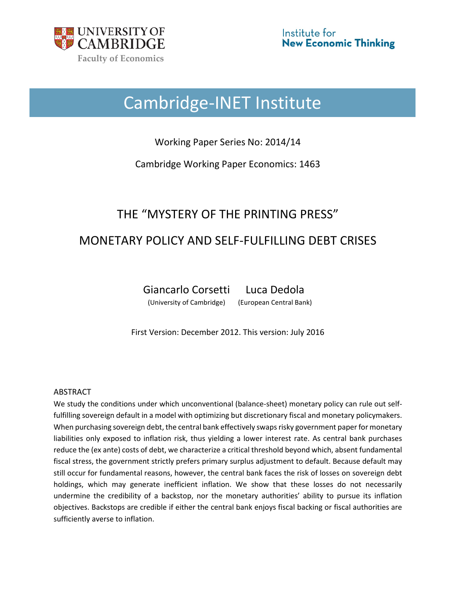

# Cambridge-INET Institute

Working Paper Series No: 2014/14

Cambridge Working Paper Economics: 1463

# THE "MYSTERY OF THE PRINTING PRESS" MONETARY POLICY AND SELF-FULFILLING DEBT CRISES

Giancarlo Corsetti Luca Dedola

(University of Cambridge) (European Central Bank)

First Version: December 2012. This version: July 2016

# ABSTRACT

We study the conditions under which unconventional (balance-sheet) monetary policy can rule out selffulfilling sovereign default in a model with optimizing but discretionary fiscal and monetary policymakers. When purchasing sovereign debt, the central bank effectively swaps risky government paper for monetary liabilities only exposed to inflation risk, thus yielding a lower interest rate. As central bank purchases reduce the (ex ante) costs of debt, we characterize a critical threshold beyond which, absent fundamental fiscal stress, the government strictly prefers primary surplus adjustment to default. Because default may still occur for fundamental reasons, however, the central bank faces the risk of losses on sovereign debt holdings, which may generate inefficient inflation. We show that these losses do not necessarily undermine the credibility of a backstop, nor the monetary authorities' ability to pursue its inflation objectives. Backstops are credible if either the central bank enjoys fiscal backing or fiscal authorities are sufficiently averse to inflation.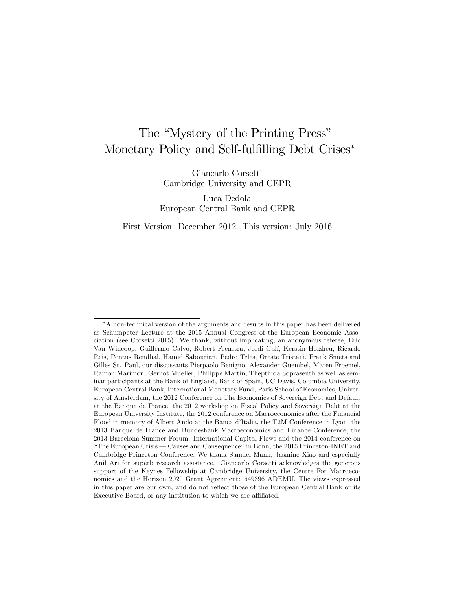# The "Mystery of the Printing Press" Monetary Policy and Self-fulfilling Debt Crises<sup>∗</sup>

Giancarlo Corsetti Cambridge University and CEPR

Luca Dedola European Central Bank and CEPR

First Version: December 2012. This version: July 2016

<sup>∗</sup>A non-technical version of the arguments and results in this paper has been delivered as Schumpeter Lecture at the 2015 Annual Congress of the European Economic Association (see Corsetti 2015). We thank, without implicating, an anonymous referee, Eric Van Wincoop, Guillermo Calvo, Robert Feenstra, Jordi Galí, Kerstin Holzheu, Ricardo Reis, Pontus Rendhal, Hamid Sabourian, Pedro Teles, Oreste Tristani, Frank Smets and Gilles St. Paul, our discussants Pierpaolo Benigno, Alexander Guembel, Maren Froemel, Ramon Marimon, Gernot Mueller, Philippe Martin, Thepthida Sopraseuth as well as seminar participants at the Bank of England, Bank of Spain, UC Davis, Columbia University, European Central Bank, International Monetary Fund, Paris School of Economics, University of Amsterdam, the 2012 Conference on The Economics of Sovereign Debt and Default at the Banque de France, the 2012 workshop on Fiscal Policy and Sovereign Debt at the European University Institute, the 2012 conference on Macroeconomics after the Financial Flood in memory of Albert Ando at the Banca d'Italia, the T2M Conference in Lyon, the 2013 Banque de France and Bundesbank Macroeconomics and Finance Conference, the 2013 Barcelona Summer Forum: International Capital Flows and the 2014 conference on "The European Crisis – Causes and Consequence" in Bonn, the 2015 Princeton-INET and Cambridge-Princeton Conference. We thank Samuel Mann, Jasmine Xiao and especially Anil Ari for superb research assistance. Giancarlo Corsetti acknowledges the generous support of the Keynes Fellowship at Cambridge University, the Centre For Macroeconomics and the Horizon 2020 Grant Agreement: 649396 ADEMU. The views expressed in this paper are our own, and do not reflect those of the European Central Bank or its Executive Board, or any institution to which we are affiliated.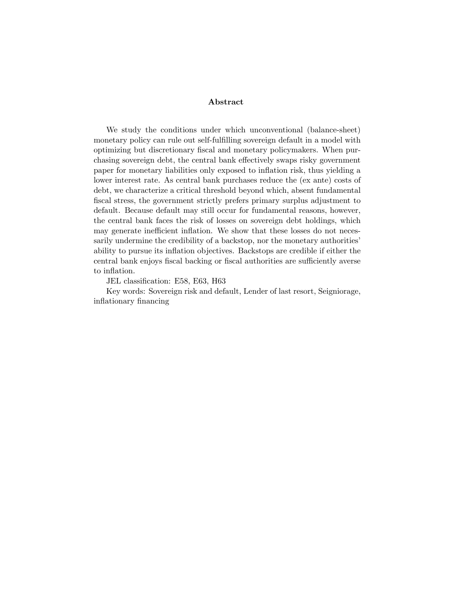#### Abstract

We study the conditions under which unconventional (balance-sheet) monetary policy can rule out self-fulfilling sovereign default in a model with optimizing but discretionary fiscal and monetary policymakers. When purchasing sovereign debt, the central bank effectively swaps risky government paper for monetary liabilities only exposed to inflation risk, thus yielding a lower interest rate. As central bank purchases reduce the (ex ante) costs of debt, we characterize a critical threshold beyond which, absent fundamental fiscal stress, the government strictly prefers primary surplus adjustment to default. Because default may still occur for fundamental reasons, however, the central bank faces the risk of losses on sovereign debt holdings, which may generate inefficient inflation. We show that these losses do not necessarily undermine the credibility of a backstop, nor the monetary authorities' ability to pursue its inflation objectives. Backstops are credible if either the central bank enjoys fiscal backing or fiscal authorities are sufficiently averse to inflation.

JEL classification: E58, E63, H63

Key words: Sovereign risk and default, Lender of last resort, Seigniorage, inflationary financing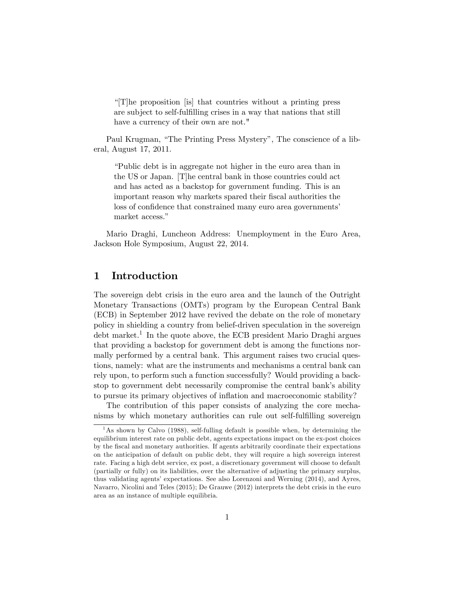"[T]he proposition [is] that countries without a printing press are subject to self-fulfilling crises in a way that nations that still have a currency of their own are not."

Paul Krugman, "The Printing Press Mystery", The conscience of a liberal, August 17, 2011.

"Public debt is in aggregate not higher in the euro area than in the US or Japan. [T]he central bank in those countries could act and has acted as a backstop for government funding. This is an important reason why markets spared their fiscal authorities the loss of confidence that constrained many euro area governments' market access."

Mario Draghi, Luncheon Address: Unemployment in the Euro Area, Jackson Hole Symposium, August 22, 2014.

# 1 Introduction

The sovereign debt crisis in the euro area and the launch of the Outright Monetary Transactions (OMTs) program by the European Central Bank (ECB) in September 2012 have revived the debate on the role of monetary policy in shielding a country from belief-driven speculation in the sovereign  $\delta$  debt market.<sup>1</sup> In the quote above, the ECB president Mario Draghi argues that providing a backstop for government debt is among the functions normally performed by a central bank. This argument raises two crucial questions, namely: what are the instruments and mechanisms a central bank can rely upon, to perform such a function successfully? Would providing a backstop to government debt necessarily compromise the central bank's ability to pursue its primary objectives of inflation and macroeconomic stability?

The contribution of this paper consists of analyzing the core mechanisms by which monetary authorities can rule out self-fulfilling sovereign

<sup>&</sup>lt;sup>1</sup>As shown by Calvo (1988), self-fulling default is possible when, by determining the equilibrium interest rate on public debt, agents expectations impact on the ex-post choices by the fiscal and monetary authorities. If agents arbitrarily coordinate their expectations on the anticipation of default on public debt, they will require a high sovereign interest rate. Facing a high debt service, ex post, a discretionary government will choose to default (partially or fully) on its liabilities, over the alternative of adjusting the primary surplus, thus validating agents' expectations. See also Lorenzoni and Werning (2014), and Ayres, Navarro, Nicolini and Teles (2015); De Grauwe (2012) interprets the debt crisis in the euro area as an instance of multiple equilibria.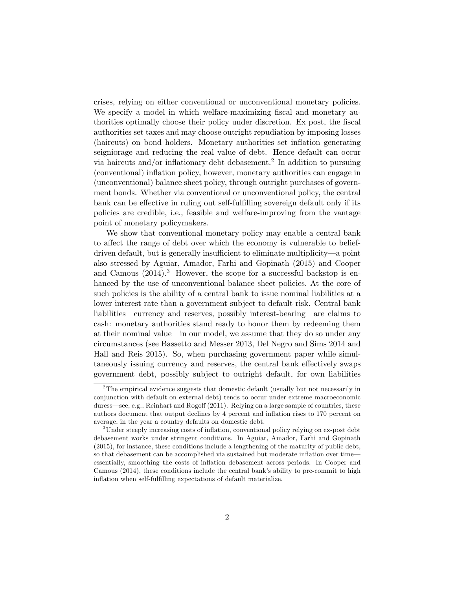crises, relying on either conventional or unconventional monetary policies. We specify a model in which welfare-maximizing fiscal and monetary authorities optimally choose their policy under discretion. Ex post, the fiscal authorities set taxes and may choose outright repudiation by imposing losses (haircuts) on bond holders. Monetary authorities set inflation generating seigniorage and reducing the real value of debt. Hence default can occur via haircuts and/or inflationary debt debasement.<sup>2</sup> In addition to pursuing (conventional) inflation policy, however, monetary authorities can engage in (unconventional) balance sheet policy, through outright purchases of government bonds. Whether via conventional or unconventional policy, the central bank can be effective in ruling out self-fulfilling sovereign default only if its policies are credible, i.e., feasible and welfare-improving from the vantage point of monetary policymakers.

We show that conventional monetary policy may enable a central bank to affect the range of debt over which the economy is vulnerable to beliefdriven default, but is generally insufficient to eliminate multiplicity—a point also stressed by Aguiar, Amador, Farhi and Gopinath (2015) and Cooper and Camous  $(2014).<sup>3</sup>$  However, the scope for a successful backstop is enhanced by the use of unconventional balance sheet policies. At the core of such policies is the ability of a central bank to issue nominal liabilities at a lower interest rate than a government subject to default risk. Central bank liabilities–currency and reserves, possibly interest-bearing–are claims to cash: monetary authorities stand ready to honor them by redeeming them at their nominal value–in our model, we assume that they do so under any circumstances (see Bassetto and Messer 2013, Del Negro and Sims 2014 and Hall and Reis 2015). So, when purchasing government paper while simultaneously issuing currency and reserves, the central bank effectively swaps government debt, possibly subject to outright default, for own liabilities

<sup>&</sup>lt;sup>2</sup>The empirical evidence suggests that domestic default (usually but not necessarily in conjunction with default on external debt) tends to occur under extreme macroeconomic duress—see, e.g., Reinhart and Rogoff (2011). Relying on a large sample of countries, these authors document that output declines by 4 percent and inflation rises to 170 percent on average, in the year a country defaults on domestic debt.

<sup>&</sup>lt;sup>3</sup>Under steeply increasing costs of inflation, conventional policy relying on ex-post debt debasement works under stringent conditions. In Aguiar, Amador, Farhi and Gopinath (2015), for instance, these conditions include a lengthening of the maturity of public debt, so that debasement can be accomplished via sustained but moderate inflation over time– essentially, smoothing the costs of inflation debasement across periods. In Cooper and Camous (2014), these conditions include the central bank's ability to pre-commit to high inflation when self-fulfilling expectations of default materialize.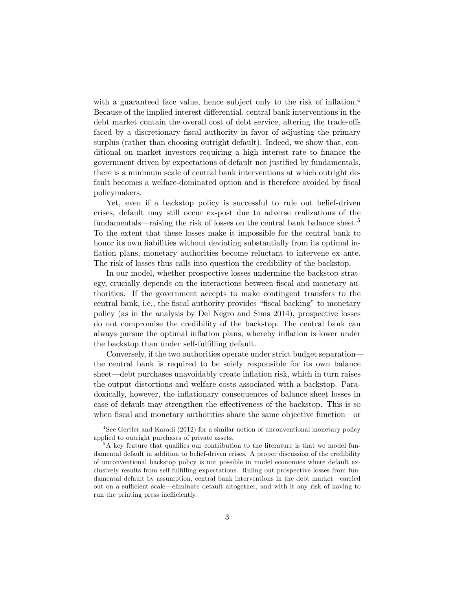with a guaranteed face value, hence subject only to the risk of inflation.<sup>4</sup> Because of the implied interest differential, central bank interventions in the debt market contain the overall cost of debt service, altering the trade-offs faced by a discretionary fiscal authority in favor of adjusting the primary surplus (rather than choosing outright default). Indeed, we show that, conditional on market investors requiring a high interest rate to finance the government driven by expectations of default not justified by fundamentals, there is a minimum scale of central bank interventions at which outright default becomes a welfare-dominated option and is therefore avoided by fiscal policymakers.

Yet, even if a backstop policy is successful to rule out belief-driven crises, default may still occur ex-post due to adverse realizations of the fundamentals—raising the risk of losses on the central bank balance sheet.<sup>5</sup> To the extent that these losses make it impossible for the central bank to honor its own liabilities without deviating substantially from its optimal inflation plans, monetary authorities become reluctant to intervene ex ante. The risk of losses thus calls into question the credibility of the backstop.

In our model, whether prospective losses undermine the backstop strategy, crucially depends on the interactions between fiscal and monetary authorities. If the government accepts to make contingent transfers to the central bank, i.e., the fiscal authority provides "fiscal backing" to monetary policy (as in the analysis by Del Negro and Sims 2014), prospective losses do not compromise the credibility of the backstop. The central bank can always pursue the optimal inflation plans, whereby inflation is lower under the backstop than under self-fulfilling default.

Conversely, if the two authorities operate under strict budget separation– the central bank is required to be solely responsible for its own balance sheet–debt purchases unavoidably create inflation risk, which in turn raises the output distortions and welfare costs associated with a backstop. Paradoxically, however, the inflationary consequences of balance sheet losses in case of default may strengthen the effectiveness of the backstop. This is so when fiscal and monetary authorities share the same objective function–or

<sup>&</sup>lt;sup>4</sup>See Gertler and Karadi (2012) for a similar notion of unconventional monetary policy applied to outright purchases of private assets.

 ${}^{5}$ A key feature that qualifies our contribution to the literature is that we model fundamental default in addition to belief-driven crises. A proper discussion of the credibility of unconventional backstop policy is not possible in model economies where default exclusively results from self-fulfilling expectations. Ruling out prospective losses from fundamental default by assumption, central bank interventions in the debt market–carried out on a sufficient scale—eliminate default altogether, and with it any risk of having to run the printing press inefficiently.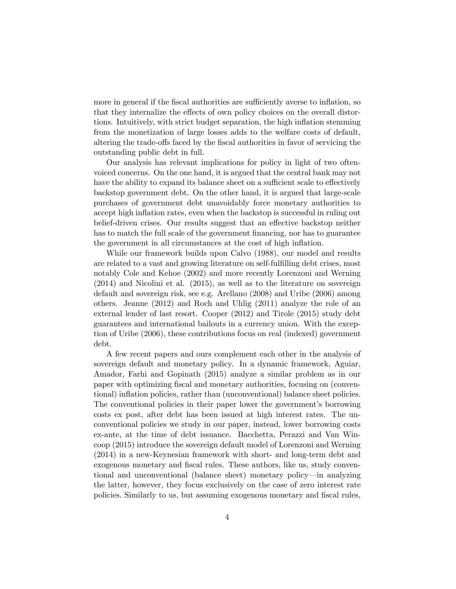more in general if the fiscal authorities are sufficiently averse to inflation, so that they internalize the effects of own policy choices on the overall distortions. Intuitively, with strict budget separation, the high inflation stemming from the monetization of large losses adds to the welfare costs of default, altering the trade-offs faced by the fiscal authorities in favor of servicing the outstanding public debt in full.

Our analysis has relevant implications for policy in light of two oftenvoiced concerns. On the one hand, it is argued that the central bank may not have the ability to expand its balance sheet on a sufficient scale to effectively backstop government debt. On the other hand, it is argued that large-scale purchases of government debt unavoidably force monetary authorities to accept high inflation rates, even when the backstop is successful in ruling out belief-driven crises. Our results suggest that an effective backstop neither has to match the full scale of the government financing, nor has to guarantee the government in all circumstances at the cost of high inflation.

While our framework builds upon Calvo (1988), our model and results are related to a vast and growing literature on self-fulfilling debt crises, most notably Cole and Kehoe (2002) and more recently Lorenzoni and Werning (2014) and Nicolini et al. (2015), as well as to the literature on sovereign default and sovereign risk, see e.g. Arellano (2008) and Uribe (2006) among others. Jeanne (2012) and Roch and Uhlig (2011) analyze the role of an external lender of last resort. Cooper (2012) and Tirole (2015) study debt guarantees and international bailouts in a currency union. With the exception of Uribe (2006), these contributions focus on real (indexed) government debt.

A few recent papers and ours complement each other in the analysis of sovereign default and monetary policy. In a dynamic framework, Aguiar, Amador, Farhi and Gopinath (2015) analyze a similar problem as in our paper with optimizing fiscal and monetary authorities, focusing on (conventional) inflation policies, rather than (unconventional) balance sheet policies. The conventional policies in their paper lower the government's borrowing costs ex post, after debt has been issued at high interest rates. The unconventional policies we study in our paper, instead, lower borrowing costs ex-ante, at the time of debt issuance. Bacchetta, Perazzi and Van Wincoop (2015) introduce the sovereign default model of Lorenzoni and Werning (2014) in a new-Keynesian framework with short- and long-term debt and exogenous monetary and fiscal rules. These authors, like us, study conventional and unconventional (balance sheet) monetary policy–in analyzing the latter, however, they focus exclusively on the case of zero interest rate policies. Similarly to us, but assuming exogenous monetary and fiscal rules,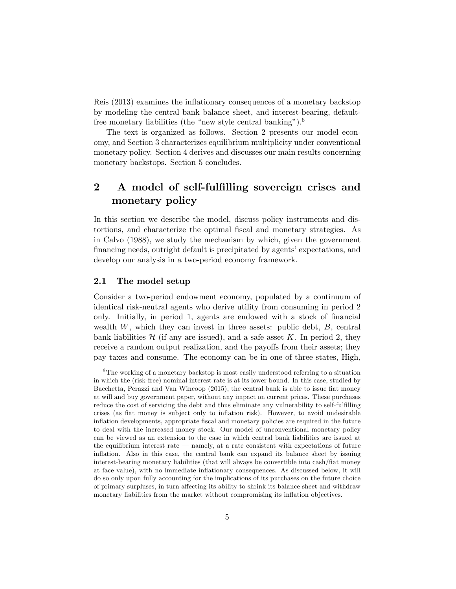Reis (2013) examines the inflationary consequences of a monetary backstop by modeling the central bank balance sheet, and interest-bearing, defaultfree monetary liabilities (the "new style central banking").<sup>6</sup>

The text is organized as follows. Section 2 presents our model economy, and Section 3 characterizes equilibrium multiplicity under conventional monetary policy. Section 4 derives and discusses our main results concerning monetary backstops. Section 5 concludes.

# 2 A model of self-fulfilling sovereign crises and monetary policy

In this section we describe the model, discuss policy instruments and distortions, and characterize the optimal fiscal and monetary strategies. As in Calvo (1988), we study the mechanism by which, given the government financing needs, outright default is precipitated by agents' expectations, and develop our analysis in a two-period economy framework.

#### 2.1 The model setup

Consider a two-period endowment economy, populated by a continuum of identical risk-neutral agents who derive utility from consuming in period 2 only. Initially, in period 1, agents are endowed with a stock of financial wealth  $W$ , which they can invest in three assets: public debt,  $B$ , central bank liabilities  $\mathcal{H}$  (if any are issued), and a safe asset  $K$ . In period 2, they receive a random output realization, and the payoffs from their assets; they pay taxes and consume. The economy can be in one of three states, High,

 $6$ The working of a monetary backstop is most easily understood referring to a situation in which the (risk-free) nominal interest rate is at its lower bound. In this case, studied by Bacchetta, Perazzi and Van Wincoop (2015), the central bank is able to issue fiat money at will and buy government paper, without any impact on current prices. These purchases reduce the cost of servicing the debt and thus eliminate any vulnerability to self-fulfilling crises (as fiat money is subject only to inflation risk). However, to avoid undesirable inflation developments, appropriate fiscal and monetary policies are required in the future to deal with the increased money stock. Our model of unconventional monetary policy can be viewed as an extension to the case in which central bank liabilities are issued at the equilibrium interest rate – namely, at a rate consistent with expectations of future inflation. Also in this case, the central bank can expand its balance sheet by issuing interest-bearing monetary liabilities (that will always be convertible into cash/fiat money at face value), with no immediate inflationary consequences. As discussed below, it will do so only upon fully accounting for the implications of its purchases on the future choice of primary surpluses, in turn affecting its ability to shrink its balance sheet and withdraw monetary liabilities from the market without compromising its inflation objectives.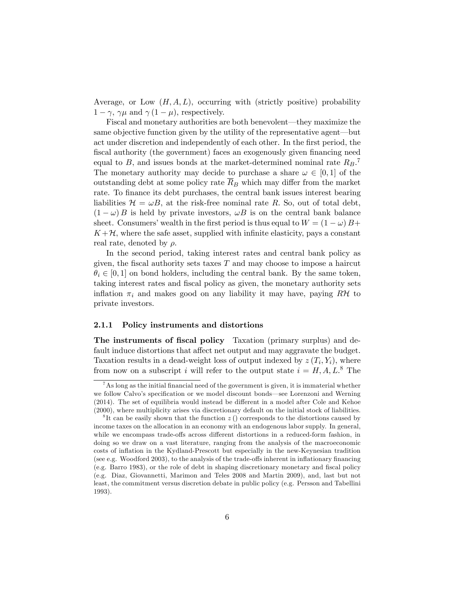Average, or Low  $(H, A, L)$ , occurring with (strictly positive) probability  $1 - \gamma$ ,  $\gamma \mu$  and  $\gamma (1 - \mu)$ , respectively.

Fiscal and monetary authorities are both benevolent–they maximize the same objective function given by the utility of the representative agent–but act under discretion and independently of each other. In the first period, the fiscal authority (the government) faces an exogenously given financing need equal to *B*, and issues bonds at the market-determined nominal rate *RB*. 7 The monetary authority may decide to purchase a share  $\omega \in [0, 1]$  of the outstanding debt at some policy rate  $\overline{R}_B$  which may differ from the market rate. To finance its debt purchases, the central bank issues interest bearing liabilities  $\mathcal{H} = \omega B$ , at the risk-free nominal rate R. So, out of total debt,  $(1 - \omega) B$  is held by private investors,  $\omega B$  is on the central bank balance sheet. Consumers' wealth in the first period is thus equal to  $W = (1 - \omega)B +$  $K+\mathcal{H}$ , where the safe asset, supplied with infinite elasticity, pays a constant real rate, denoted by ρ*.*

In the second period, taking interest rates and central bank policy as given, the fiscal authority sets taxes *T* and may choose to impose a haircut  $\theta_i \in [0, 1]$  on bond holders, including the central bank. By the same token, taking interest rates and fiscal policy as given, the monetary authority sets inflation  $\pi_i$  and makes good on any liability it may have, paying  $R\mathcal{H}$  to private investors.

#### 2.1.1 Policy instruments and distortions

The instruments of fiscal policy Taxation (primary surplus) and default induce distortions that affect net output and may aggravate the budget. Taxation results in a dead-weight loss of output indexed by  $z(T_i, Y_i)$ , where from now on a subscript *i* will refer to the output state  $i = H, A, L$ <sup>8</sup>. The

<sup>&</sup>lt;sup>7</sup>As long as the initial financial need of the government is given, it is immaterial whether we follow Calvo's specification or we model discount bonds–see Lorenzoni and Werning  $(2014)$ . The set of equilibria would instead be different in a model after Cole and Kehoe (2000), where multiplicity arises via discretionary default on the initial stock of liabilities.

<sup>&</sup>lt;sup>8</sup>It can be easily shown that the function  $z($ ) corresponds to the distortions caused by income taxes on the allocation in an economy with an endogenous labor supply. In general, while we encompass trade-offs across different distortions in a reduced-form fashion, in doing so we draw on a vast literature, ranging from the analysis of the macroeconomic costs of inflation in the Kydland-Prescott but especially in the new-Keynesian tradition (see e.g. Woodford 2003), to the analysis of the trade-offs inherent in inflationary financing (e.g. Barro 1983), or the role of debt in shaping discretionary monetary and fiscal policy (e.g. Diaz, Giovannetti, Marimon and Teles 2008 and Martin 2009), and, last but not least, the commitment versus discretion debate in public policy (e.g. Persson and Tabellini 1993).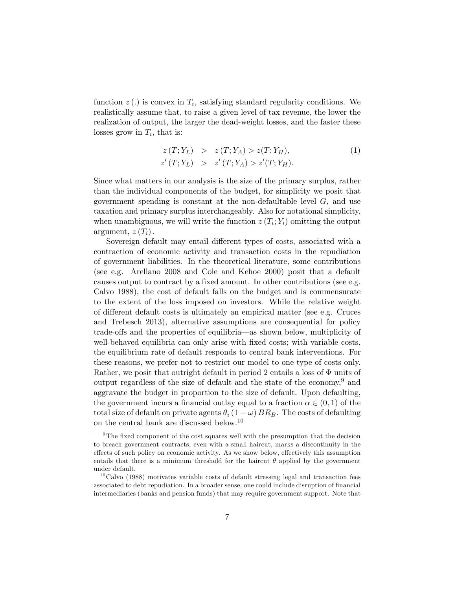function  $z(.)$  is convex in  $T_i$ , satisfying standard regularity conditions. We realistically assume that, to raise a given level of tax revenue, the lower the realization of output, the larger the dead-weight losses, and the faster these losses grow in *Ti*, that is:

$$
z(T; Y_L) > z(T; Y_A) > z(T; Y_H),
$$
  
\n
$$
z'(T; Y_L) > z'(T; Y_A) > z'(T; Y_H).
$$
\n(1)

Since what matters in our analysis is the size of the primary surplus, rather than the individual components of the budget, for simplicity we posit that government spending is constant at the non-defaultable level *G*, and use taxation and primary surplus interchangeably. Also for notational simplicity, when unambiguous, we will write the function  $z(T_i; Y_i)$  omitting the output argument,  $z(T_i)$ .

Sovereign default may entail different types of costs, associated with a contraction of economic activity and transaction costs in the repudiation of government liabilities. In the theoretical literature, some contributions (see e.g. Arellano 2008 and Cole and Kehoe 2000) posit that a default causes output to contract by a fixed amount. In other contributions (see e.g. Calvo 1988), the cost of default falls on the budget and is commensurate to the extent of the loss imposed on investors. While the relative weight of different default costs is ultimately an empirical matter (see e.g. Cruces and Trebesch 2013), alternative assumptions are consequential for policy trade-offs and the properties of equilibria—as shown below, multiplicity of well-behaved equilibria can only arise with fixed costs; with variable costs, the equilibrium rate of default responds to central bank interventions. For these reasons, we prefer not to restrict our model to one type of costs only. Rather, we posit that outright default in period 2 entails a loss of Φ units of output regardless of the size of default and the state of the economy,  $9$  and aggravate the budget in proportion to the size of default. Upon defaulting, the government incurs a financial outlay equal to a fraction  $\alpha \in (0, 1)$  of the total size of default on private agents  $\theta_i (1 - \omega) BR_B$ . The costs of defaulting on the central bank are discussed below.<sup>10</sup>

 $9$ The fixed component of the cost squares well with the presumption that the decision to breach government contracts, even with a small haircut, marks a discontinuity in the effects of such policy on economic activity. As we show below, effectively this assumption entails that there is a minimum threshold for the haircut  $\theta$  applied by the government under default.

 $10$ Calvo (1988) motivates variable costs of default stressing legal and transaction fees associated to debt repudiation. In a broader sense, one could include disruption of financial intermediaries (banks and pension funds) that may require government support. Note that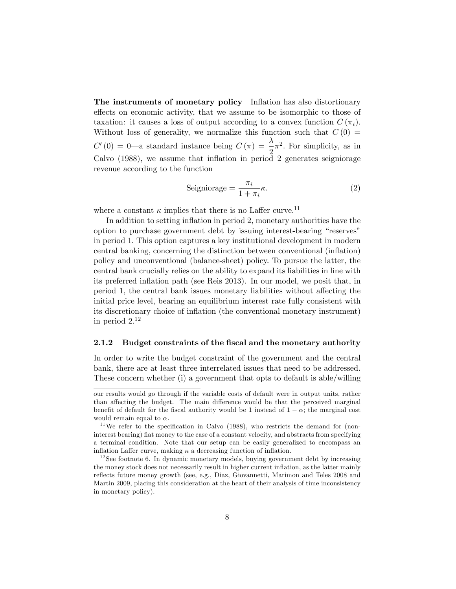The instruments of monetary policy Inflation has also distortionary effects on economic activity, that we assume to be isomorphic to those of taxation: it causes a loss of output according to a convex function  $C(\pi_i)$ . Without loss of generality, we normalize this function such that  $C(0)$  $C'(0) = 0$ —a standard instance being  $C(\pi) = \frac{\lambda}{2}\pi^2$ . For simplicity, as in Calvo (1988), we assume that inflation in period 2 generates seigniorage revenue according to the function

$$
Seigniorage = \frac{\pi_i}{1 + \pi_i} \kappa.
$$
\n(2)

where a constant  $\kappa$  implies that there is no Laffer curve.<sup>11</sup>

In addition to setting inflation in period 2, monetary authorities have the option to purchase government debt by issuing interest-bearing "reserves" in period 1. This option captures a key institutional development in modern central banking, concerning the distinction between conventional (inflation) policy and unconventional (balance-sheet) policy. To pursue the latter, the central bank crucially relies on the ability to expand its liabilities in line with its preferred inflation path (see Reis 2013). In our model, we posit that, in period 1, the central bank issues monetary liabilities without affecting the initial price level, bearing an equilibrium interest rate fully consistent with its discretionary choice of inflation (the conventional monetary instrument) in period  $2^{12}$ 

#### 2.1.2 Budget constraints of the fiscal and the monetary authority

In order to write the budget constraint of the government and the central bank, there are at least three interrelated issues that need to be addressed. These concern whether (i) a government that opts to default is able/willing

our results would go through if the variable costs of default were in output units, rather than affecting the budget. The main difference would be that the perceived marginal benefit of default for the fiscal authority would be 1 instead of  $1 - \alpha$ ; the marginal cost would remain equal to  $\alpha$ .

 $11$ We refer to the specification in Calvo (1988), who restricts the demand for (noninterest bearing) fiat money to the case of a constant velocity, and abstracts from specifying a terminal condition. Note that our setup can be easily generalized to encompass an inflation Laffer curve, making  $\kappa$  a decreasing function of inflation.

 $12$  See footnote 6. In dynamic monetary models, buying government debt by increasing the money stock does not necessarily result in higher current inflation, as the latter mainly reflects future money growth (see, e.g., Diaz, Giovannetti, Marimon and Teles 2008 and Martin 2009, placing this consideration at the heart of their analysis of time inconsistency in monetary policy).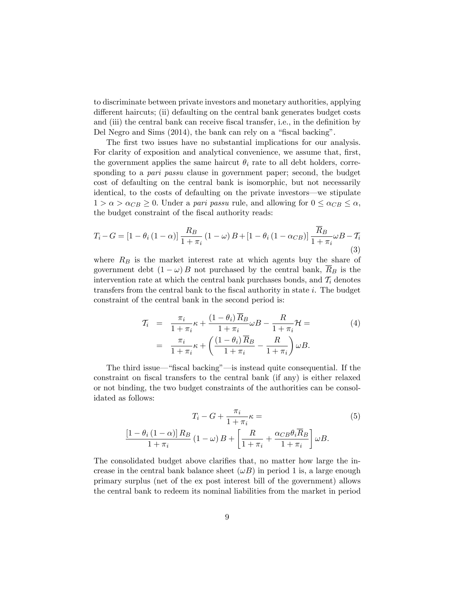to discriminate between private investors and monetary authorities, applying different haircuts; (ii) defaulting on the central bank generates budget costs and (iii) the central bank can receive fiscal transfer, i.e., in the definition by Del Negro and Sims (2014), the bank can rely on a "fiscal backing".

The first two issues have no substantial implications for our analysis. For clarity of exposition and analytical convenience, we assume that, first, the government applies the same haircut  $\theta_i$  rate to all debt holders, corresponding to a *pari passu* clause in government paper; second, the budget cost of defaulting on the central bank is isomorphic, but not necessarily identical, to the costs of defaulting on the private investors–we stipulate  $1 > \alpha > \alpha_{CB} \geq 0$ . Under a *pari passu* rule, and allowing for  $0 \leq \alpha_{CB} \leq \alpha$ , the budget constraint of the fiscal authority reads:

$$
T_i - G = \left[1 - \theta_i \left(1 - \alpha\right)\right] \frac{R_B}{1 + \pi_i} \left(1 - \omega\right) B + \left[1 - \theta_i \left(1 - \alpha_{CB}\right)\right] \frac{\overline{R}_B}{1 + \pi_i} \omega B - \mathcal{T}_i
$$
\n(3)

where  $R_B$  is the market interest rate at which agents buy the share of government debt  $(1 - \omega) B$  not purchased by the central bank,  $R_B$  is the intervention rate at which the central bank purchases bonds, and  $T_i$  denotes transfers from the central bank to the fiscal authority in state *i*. The budget constraint of the central bank in the second period is:

$$
T_i = \frac{\pi_i}{1 + \pi_i} \kappa + \frac{(1 - \theta_i) \overline{R}_B}{1 + \pi_i} \omega B - \frac{R}{1 + \pi_i} \mathcal{H} =
$$
  
= 
$$
\frac{\pi_i}{1 + \pi_i} \kappa + \left( \frac{(1 - \theta_i) \overline{R}_B}{1 + \pi_i} - \frac{R}{1 + \pi_i} \right) \omega B.
$$
 (4)

The third issue–"fiscal backing"–is instead quite consequential. If the constraint on fiscal transfers to the central bank (if any) is either relaxed or not binding, the two budget constraints of the authorities can be consolidated as follows:

$$
T_i - G + \frac{\pi_i}{1 + \pi_i} \kappa =
$$
\n
$$
\frac{\left[1 - \theta_i \left(1 - \alpha\right)\right] R_B}{1 + \pi_i} \left(1 - \omega\right) B + \left[\frac{R}{1 + \pi_i} + \frac{\alpha_{CB} \theta_i \overline{R}_B}{1 + \pi_i}\right] \omega B.
$$
\n
$$
(5)
$$

The consolidated budget above clarifies that, no matter how large the increase in the central bank balance sheet  $(\omega B)$  in period 1 is, a large enough primary surplus (net of the ex post interest bill of the government) allows the central bank to redeem its nominal liabilities from the market in period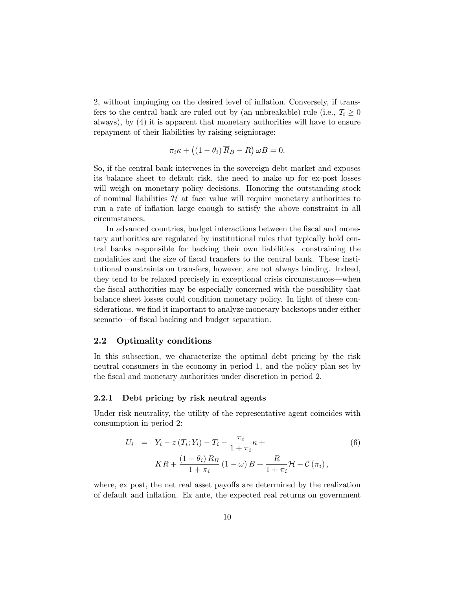2, without impinging on the desired level of inflation. Conversely, if transfers to the central bank are ruled out by (an unbreakable) rule (i.e.,  $T_i \geq 0$ always), by (4) it is apparent that monetary authorities will have to ensure repayment of their liabilities by raising seigniorage:

$$
\pi_i \kappa + \left( (1 - \theta_i) \overline{R}_B - R \right) \omega B = 0.
$$

So, if the central bank intervenes in the sovereign debt market and exposes its balance sheet to default risk, the need to make up for ex-post losses will weigh on monetary policy decisions. Honoring the outstanding stock of nominal liabilities  $\mathcal H$  at face value will require monetary authorities to run a rate of inflation large enough to satisfy the above constraint in all circumstances.

In advanced countries, budget interactions between the fiscal and monetary authorities are regulated by institutional rules that typically hold central banks responsible for backing their own liabilities–constraining the modalities and the size of fiscal transfers to the central bank. These institutional constraints on transfers, however, are not always binding. Indeed, they tend to be relaxed precisely in exceptional crisis circumstances–when the fiscal authorities may be especially concerned with the possibility that balance sheet losses could condition monetary policy. In light of these considerations, we find it important to analyze monetary backstops under either scenario–of fiscal backing and budget separation.

#### 2.2 Optimality conditions

In this subsection, we characterize the optimal debt pricing by the risk neutral consumers in the economy in period 1, and the policy plan set by the fiscal and monetary authorities under discretion in period 2.

#### 2.2.1 Debt pricing by risk neutral agents

Under risk neutrality, the utility of the representative agent coincides with consumption in period 2:

$$
U_i = Y_i - z(T_i; Y_i) - T_i - \frac{\pi_i}{1 + \pi_i} \kappa +
$$
  
\n
$$
KR + \frac{(1 - \theta_i) R_B}{1 + \pi_i} (1 - \omega) B + \frac{R}{1 + \pi_i} \mathcal{H} - C(\pi_i),
$$
\n(6)

where, ex post, the net real asset payoffs are determined by the realization of default and inflation. Ex ante, the expected real returns on government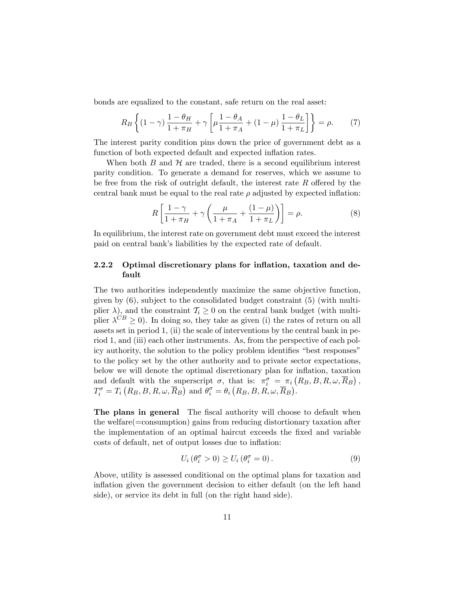bonds are equalized to the constant, safe return on the real asset:

$$
R_B \left\{ (1 - \gamma) \frac{1 - \theta_H}{1 + \pi_H} + \gamma \left[ \mu \frac{1 - \theta_A}{1 + \pi_A} + (1 - \mu) \frac{1 - \theta_L}{1 + \pi_L} \right] \right\} = \rho. \tag{7}
$$

The interest parity condition pins down the price of government debt as a function of both expected default and expected inflation rates.

When both  $B$  and  $H$  are traded, there is a second equilibrium interest parity condition. To generate a demand for reserves, which we assume to be free from the risk of outright default, the interest rate  $R$  offered by the central bank must be equal to the real rate  $\rho$  adjusted by expected inflation:

$$
R\left[\frac{1-\gamma}{1+\pi_H}+\gamma\left(\frac{\mu}{1+\pi_A}+\frac{(1-\mu)}{1+\pi_L}\right)\right]=\rho.
$$
 (8)

In equilibrium, the interest rate on government debt must exceed the interest paid on central bank's liabilities by the expected rate of default.

### 2.2.2 Optimal discretionary plans for inflation, taxation and default

The two authorities independently maximize the same objective function, given by (6), subject to the consolidated budget constraint (5) (with multiplier  $\lambda$ ), and the constraint  $\mathcal{T}_i \geq 0$  on the central bank budget (with multiplier  $\lambda^{CB} \geq 0$ ). In doing so, they take as given (i) the rates of return on all assets set in period 1, (ii) the scale of interventions by the central bank in period 1, and (iii) each other instruments. As, from the perspective of each policy authority, the solution to the policy problem identifies "best responses" to the policy set by the other authority and to private sector expectations, below we will denote the optimal discretionary plan for inflation, taxation and default with the superscript  $\sigma$ , that is:  $\pi_i^{\sigma} = \pi_i (R_B, B, R, \omega, \overline{R}_B)$ ,  $T_i^{\sigma} = T_i \left( R_B, B, R, \omega, \overline{R}_B \right) \text{ and } \theta_i^{\sigma} = \theta_i \left( R_B, B, R, \omega, \overline{R}_B \right).$ 

The plans in general The fiscal authority will choose to default when the welfare(=consumption) gains from reducing distortionary taxation after the implementation of an optimal haircut exceeds the fixed and variable costs of default, net of output losses due to inflation:

$$
U_i \left( \theta_i^{\sigma} > 0 \right) \ge U_i \left( \theta_i^{\sigma} = 0 \right). \tag{9}
$$

Above, utility is assessed conditional on the optimal plans for taxation and inflation given the government decision to either default (on the left hand side), or service its debt in full (on the right hand side).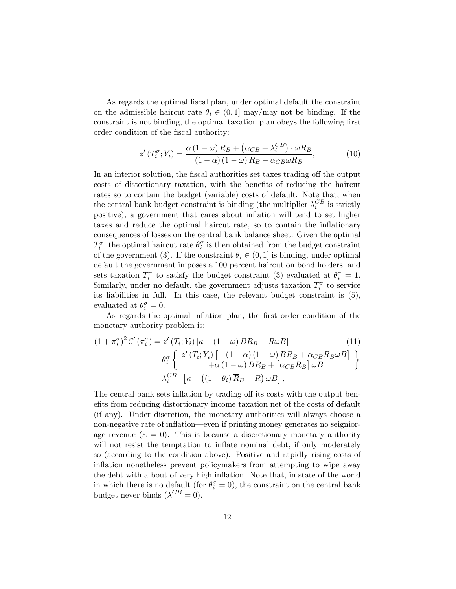As regards the optimal fiscal plan, under optimal default the constraint on the admissible haircut rate  $\theta_i \in (0,1]$  may/may not be binding. If the constraint is not binding, the optimal taxation plan obeys the following first order condition of the fiscal authority:

$$
z'(T_i^{\sigma}; Y_i) = \frac{\alpha (1 - \omega) R_B + (\alpha_{CB} + \lambda_i^{CB}) \cdot \omega \overline{R}_B}{(1 - \alpha) (1 - \omega) R_B - \alpha_{CB} \omega \overline{R}_B},
$$
(10)

In an interior solution, the fiscal authorities set taxes trading off the output costs of distortionary taxation, with the benefits of reducing the haircut rates so to contain the budget (variable) costs of default. Note that, when the central bank budget constraint is binding (the multiplier  $\lambda_i^{CB}$  is strictly positive), a government that cares about inflation will tend to set higher taxes and reduce the optimal haircut rate, so to contain the inflationary consequences of losses on the central bank balance sheet. Given the optimal  $T_i^{\sigma}$ , the optimal haircut rate  $\theta_i^{\sigma}$  is then obtained from the budget constraint of the government (3). If the constraint  $\theta_i \in (0, 1]$  is binding, under optimal default the government imposes a 100 percent haircut on bond holders, and sets taxation  $T_i^{\sigma}$  to satisfy the budget constraint (3) evaluated at  $\theta_i^{\sigma} = 1$ . Similarly, under no default, the government adjusts taxation  $T_i^{\sigma}$  to service its liabilities in full. In this case, the relevant budget constraint is (5), evaluated at  $\theta_i^{\sigma} = 0$ .

As regards the optimal inflation plan, the first order condition of the monetary authority problem is:

$$
(1 + \pi_i^{\sigma})^2 C' (\pi_i^{\sigma}) = z' (T_i; Y_i) [\kappa + (1 - \omega) BR_B + R \omega B]
$$
\n
$$
+ \theta_i^{\sigma} \left\{ z' (T_i; Y_i) [- (1 - \alpha) (1 - \omega) BR_B + \alpha_{CB} \overline{R}_B \omega B] + \alpha (1 - \omega) BR_B + [\alpha_{CB} \overline{R}_B] \omega B + \lambda_i^{CB} \cdot [\kappa + ((1 - \theta_i) \overline{R}_B - R) \omega B], \right\}
$$
\n(11)

The central bank sets inflation by trading off its costs with the output benefits from reducing distortionary income taxation net of the costs of default (if any). Under discretion, the monetary authorities will always choose a non-negative rate of inflation–even if printing money generates no seigniorage revenue ( $\kappa = 0$ ). This is because a discretionary monetary authority will not resist the temptation to inflate nominal debt, if only moderately so (according to the condition above). Positive and rapidly rising costs of inflation nonetheless prevent policymakers from attempting to wipe away the debt with a bout of very high inflation. Note that, in state of the world in which there is no default (for  $\theta_i^{\sigma} = 0$ ), the constraint on the central bank budget never binds  $(\lambda^{CB} = 0)$ .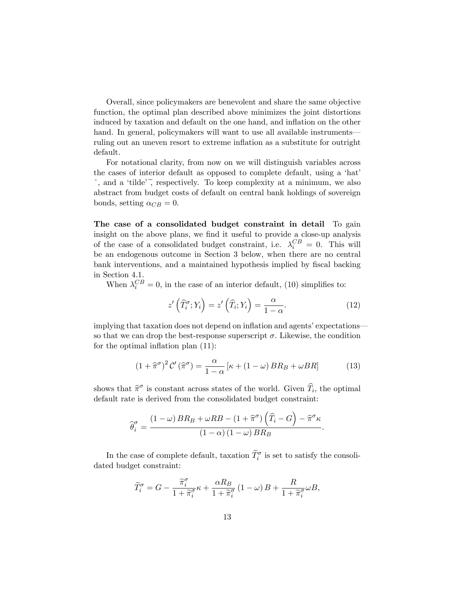Overall, since policymakers are benevolent and share the same objective function, the optimal plan described above minimizes the joint distortions induced by taxation and default on the one hand, and inflation on the other hand. In general, policymakers will want to use all available instruments– ruling out an uneven resort to extreme inflation as a substitute for outright default.

For notational clarity, from now on we will distinguish variables across the cases of interior default as opposed to complete default, using a 'hat'  $\hat{\ }$ , and a 'tilde', respectively. To keep complexity at a minimum, we also abstract from budget costs of default on central bank holdings of sovereign bonds, setting  $\alpha_{CB} = 0$ .

The case of a consolidated budget constraint in detail To gain insight on the above plans, we find it useful to provide a close-up analysis of the case of a consolidated budget constraint, i.e.  $\lambda_i^{CB} = 0$ . This will be an endogenous outcome in Section 3 below, when there are no central bank interventions, and a maintained hypothesis implied by fiscal backing in Section 4.1.

When  $\lambda_i^{CB} = 0$ , in the case of an interior default, (10) simplifies to:

$$
z'\left(\widehat{T}_i^{\sigma}; Y_i\right) = z'\left(\widehat{T}_i; Y_i\right) = \frac{\alpha}{1 - \alpha}.\tag{12}
$$

implying that taxation does not depend on inflation and agents' expectations– so that we can drop the best-response superscript  $\sigma$ . Likewise, the condition for the optimal inflation plan (11):

$$
(1 + \hat{\pi}^{\sigma})^2 C'(\hat{\pi}^{\sigma}) = \frac{\alpha}{1 - \alpha} [\kappa + (1 - \omega) BR_B + \omega BR]
$$
 (13)

shows that  $\hat{\pi}^{\sigma}$  is constant across states of the world. Given  $\hat{T}_i$ , the optimal default rate is derived from the consolidated budget constraint:

$$
\widehat{\theta}_{i}^{\sigma} = \frac{(1-\omega) BR_B + \omega RB - (1+\widehat{\pi}^{\sigma}) \left(\widehat{T}_i - G\right) - \widehat{\pi}^{\sigma} \kappa}{(1-\alpha) (1-\omega) BR_B}.
$$

In the case of complete default, taxation  $\widetilde{T}_i^{\sigma}$  is set to satisfy the consolidated budget constraint:

$$
\widetilde{T}_{i}^{\sigma}=G-\frac{\widetilde{\pi}_{i}^{\sigma}}{1+\widetilde{\pi}_{i}^{\sigma}}\kappa+\frac{\alpha R_{B}}{1+\widetilde{\pi}_{i}^{\sigma}}\left(1-\omega\right)B+\frac{R}{1+\widetilde{\pi}_{i}^{\sigma}}\omega B,
$$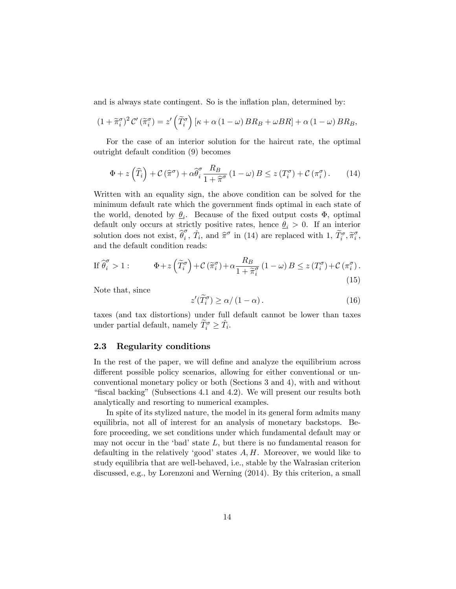and is always state contingent. So is the inflation plan, determined by:

$$
(1 + \widetilde{\pi}_i^{\sigma})^2 C' (\widetilde{\pi}_i^{\sigma}) = z' \left(\widetilde{T}_i^{\sigma}\right) \left[\kappa + \alpha \left(1 - \omega\right) BR_B + \omega BR\right] + \alpha \left(1 - \omega\right) BR_B,
$$

For the case of an interior solution for the haircut rate, the optimal outright default condition (9) becomes

$$
\Phi + z\left(\widehat{T}_i\right) + \mathcal{C}\left(\widehat{\pi}^{\sigma}\right) + \alpha \widehat{\theta}_i^{\sigma} \frac{R_B}{1 + \widehat{\pi}^{\sigma}} \left(1 - \omega\right) B \le z\left(T_i^{\sigma}\right) + \mathcal{C}\left(\pi_i^{\sigma}\right). \tag{14}
$$

Written with an equality sign, the above condition can be solved for the minimum default rate which the government finds optimal in each state of the world, denoted by  $\theta_i$ . Because of the fixed output costs  $\Phi$ , optimal default only occurs at strictly positive rates, hence  $\theta_i > 0$ . If an interior solution does not exist,  $\hat{\theta}_i^{\sigma}$ ,  $\hat{T}_i$ , and  $\hat{\pi}^{\sigma}$  in (14) are replaced with 1,  $\tilde{T}_i^{\sigma}$ ,  $\tilde{\pi}_i^{\sigma}$ , and the default condition reads:

$$
\text{If } \widehat{\theta}_i^{\sigma} > 1: \qquad \Phi + z \left( \widetilde{T}_i^{\sigma} \right) + \mathcal{C} \left( \widetilde{\pi}_i^{\sigma} \right) + \alpha \frac{R_B}{1 + \widetilde{\pi}_i^{\sigma}} \left( 1 - \omega \right) B \le z \left( T_i^{\sigma} \right) + \mathcal{C} \left( \pi_i^{\sigma} \right). \tag{15}
$$

Note that, since

$$
z'(\widetilde{T}_i^{\sigma}) \ge \alpha/(1-\alpha). \tag{16}
$$

taxes (and tax distortions) under full default cannot be lower than taxes under partial default, namely  $\widetilde{T}_i^{\sigma} \geq \hat{T}_i$ .

#### 2.3 Regularity conditions

In the rest of the paper, we will define and analyze the equilibrium across different possible policy scenarios, allowing for either conventional or unconventional monetary policy or both (Sections 3 and 4), with and without "fiscal backing" (Subsections 4.1 and 4.2). We will present our results both analytically and resorting to numerical examples.

In spite of its stylized nature, the model in its general form admits many equilibria, not all of interest for an analysis of monetary backstops. Before proceeding, we set conditions under which fundamental default may or may not occur in the 'bad' state *L*, but there is no fundamental reason for defaulting in the relatively 'good' states *A, H*. Moreover, we would like to study equilibria that are well-behaved, i.e., stable by the Walrasian criterion discussed, e.g., by Lorenzoni and Werning (2014). By this criterion, a small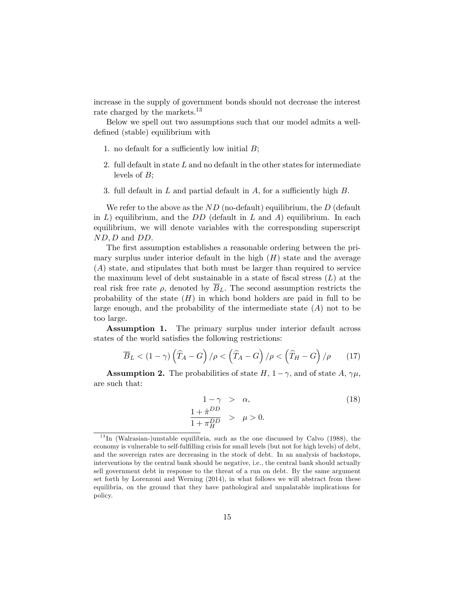increase in the supply of government bonds should not decrease the interest rate charged by the markets.<sup>13</sup>

Below we spell out two assumptions such that our model admits a welldefined (stable) equilibrium with

- 1. no default for a sufficiently low initial  $B$ ;
- 2. full default in state *L* and no default in the other states for intermediate levels of *B*;
- 3. full default in *L* and partial default in *A*, for a sufficiently high *B*.

We refer to the above as the *ND* (no-default) equilibrium, the *D* (default in *L*) equilibrium, and the *DD* (default in *L* and *A*) equilibrium. In each equilibrium, we will denote variables with the corresponding superscript *ND,D* and *DD*.

The first assumption establishes a reasonable ordering between the primary surplus under interior default in the high  $(H)$  state and the average (*A*) state, and stipulates that both must be larger than required to service the maximum level of debt sustainable in a state of fiscal stress (*L*) at the real risk free rate  $\rho$ , denoted by  $\overline{B}_L$ . The second assumption restricts the probability of the state  $(H)$  in which bond holders are paid in full to be large enough, and the probability of the intermediate state  $(A)$  not to be too large.

Assumption 1. The primary surplus under interior default across states of the world satisfies the following restrictions:

$$
\overline{B}_L < (1 - \gamma) \left(\widehat{T}_A - G\right) / \rho < \left(\widehat{T}_A - G\right) / \rho < \left(\widehat{T}_H - G\right) / \rho \tag{17}
$$

**Assumption 2.** The probabilities of state  $H$ ,  $1-\gamma$ , and of state  $A$ ,  $\gamma\mu$ , are such that:

$$
1 - \gamma > \alpha,
$$
  
\n
$$
\frac{1 + \hat{\pi}^{DD}}{1 + \pi_H^{DD}} > \mu > 0.
$$
\n(18)

 $13$ In (Walrasian-)unstable equilibria, such as the one discussed by Calvo (1988), the economy is vulnerable to self-fulfilling crisis for small levels (but not for high levels) of debt, and the sovereign rates are decreasing in the stock of debt. In an analysis of backstops, interventions by the central bank should be negative, i.e., the central bank should actually sell government debt in response to the threat of a run on debt. By the same argument set forth by Lorenzoni and Werning (2014), in what follows we will abstract from these equilibria, on the ground that they have pathological and unpalatable implications for policy.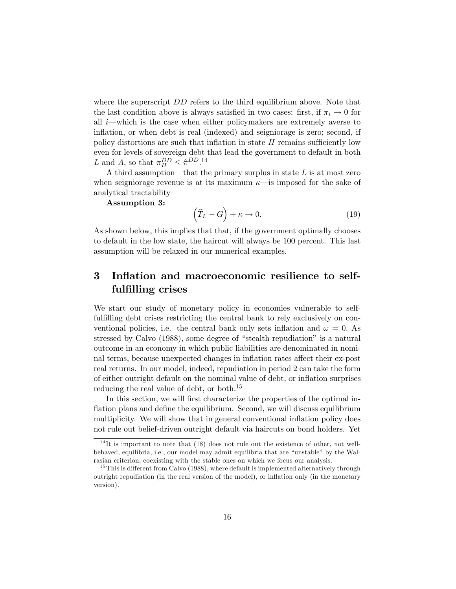where the superscript *DD* refers to the third equilibrium above. Note that the last condition above is always satisfied in two cases: first, if  $\pi_i \to 0$  for all *i*–which is the case when either policymakers are extremely averse to inflation, or when debt is real (indexed) and seigniorage is zero; second, if policy distortions are such that inflation in state  $H$  remains sufficiently low even for levels of sovereign debt that lead the government to default in both L and A, so that  $\pi_H^{DD} \leq \hat{\pi}^{DD}$ .<sup>14</sup>

A third assumption–that the primary surplus in state *L* is at most zero when seigniorage revenue is at its maximum  $\kappa$ —is imposed for the sake of analytical tractability

Assumption 3:

$$
\left(\widehat{T}_L - G\right) + \kappa \to 0. \tag{19}
$$

As shown below, this implies that that, if the government optimally chooses to default in the low state, the haircut will always be 100 percent. This last assumption will be relaxed in our numerical examples.

# 3 Inflation and macroeconomic resilience to selffulfilling crises

We start our study of monetary policy in economies vulnerable to selffulfilling debt crises restricting the central bank to rely exclusively on conventional policies, i.e. the central bank only sets inflation and  $\omega = 0$ . As stressed by Calvo (1988), some degree of "stealth repudiation" is a natural outcome in an economy in which public liabilities are denominated in nominal terms, because unexpected changes in inflation rates affect their ex-post real returns. In our model, indeed, repudiation in period 2 can take the form of either outright default on the nominal value of debt, or inflation surprises reducing the real value of debt, or both.15

In this section, we will first characterize the properties of the optimal inflation plans and define the equilibrium. Second, we will discuss equilibrium multiplicity. We will show that in general conventional inflation policy does not rule out belief-driven outright default via haircuts on bond holders. Yet

 $14$ It is important to note that (18) does not rule out the existence of other, not wellbehaved, equilibria, i.e., our model may admit equilibria that are "unstable" by the Walrasian criterion, coexisting with the stable ones on which we focus our analysis.

 $15$ This is different from Calvo (1988), where default is implemented alternatively through outright repudiation (in the real version of the model), or inflation only (in the monetary version).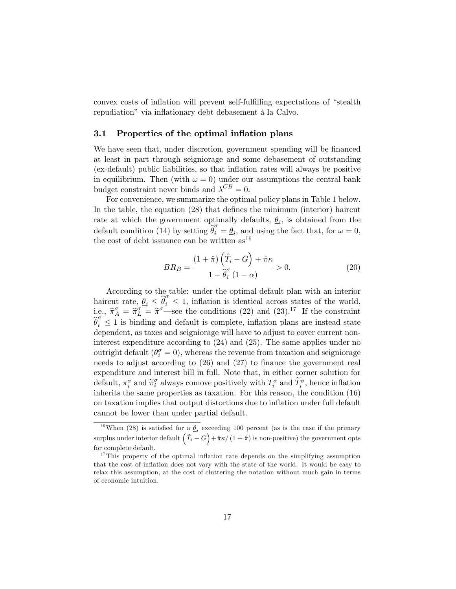convex costs of inflation will prevent self-fulfilling expectations of "stealth repudiation" via inflationary debt debasement à la Calvo.

#### 3.1 Properties of the optimal inflation plans

We have seen that, under discretion, government spending will be financed at least in part through seigniorage and some debasement of outstanding (ex-default) public liabilities, so that inflation rates will always be positive in equilibrium. Then (with  $\omega = 0$ ) under our assumptions the central bank budget constraint never binds and  $\lambda^{CB} = 0$ .

For convenience, we summarize the optimal policy plans in Table 1 below. In the table, the equation (28) that defines the minimum (interior) haircut rate at which the government optimally defaults,  $\theta_i$ , is obtained from the default condition (14) by setting  $\hat{\theta}_i^{\sigma} = \hat{\theta}_i$ , and using the fact that, for  $\omega = 0$ , the cost of debt issuance can be written  $as^{16}$ 

$$
BR_B = \frac{(1+\hat{\pi})\left(\hat{T}_i - G\right) + \hat{\pi}\kappa}{1 - \hat{\theta}_i^{\sigma}\left(1 - \alpha\right)} > 0.
$$
 (20)

According to the table: under the optimal default plan with an interior haircut rate,  $\theta_i \leq \hat{\theta}_i^{\sigma} \leq 1$ , inflation is identical across states of the world, i.e.,  $\hat{\pi}_A^{\sigma} = \hat{\pi}_L^{\sigma}$  =  $\hat{\pi}^{\sigma}$  –see the conditions (22) and (23).<sup>17</sup> If the constraint  $\theta_i \leq 1$  is binding and default is complete, inflation plans are instead state dependent, as taxes and seigniorage will have to adjust to cover current noninterest expenditure according to (24) and (25). The same applies under no outright default  $(\theta_i^{\sigma} = 0)$ , whereas the revenue from taxation and seigniorage needs to adjust according to (26) and (27) to finance the government real expenditure and interest bill in full. Note that, in either corner solution for default,  $\pi_i^{\sigma}$  and  $\widetilde{\pi}_i^{\sigma}$  always comove positively with  $T_i^{\sigma}$  and  $\widetilde{T}_i^{\sigma}$ , hence inflation inherits the same properties as taxation. For this reason, the condition (16) on taxation implies that output distortions due to inflation under full default cannot be lower than under partial default.

<sup>&</sup>lt;sup>16</sup>When (28) is satisfied for a  $\theta_i$  exceeding 100 percent (as is the case if the primary  $\sup$ lus under interior default  $(\hat{T}_i - G) + \hat{\pi}\kappa / (1 + \hat{\pi})$  is non-positive) the government opts for complete default.

<sup>&</sup>lt;sup>17</sup>This property of the optimal inflation rate depends on the simplifying assumption that the cost of inflation does not vary with the state of the world. It would be easy to relax this assumption, at the cost of cluttering the notation without much gain in terms of economic intuition.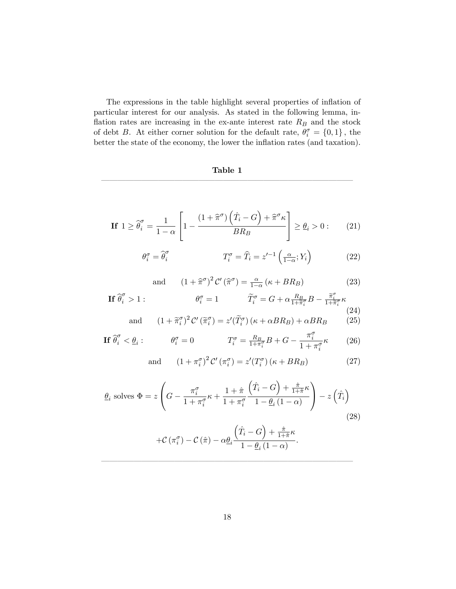The expressions in the table highlight several properties of inflation of particular interest for our analysis. As stated in the following lemma, inflation rates are increasing in the ex-ante interest rate *R<sup>B</sup>* and the stock of debt *B*. At either corner solution for the default rate,  $\theta_i^{\sigma} = \{0, 1\}$ , the better the state of the economy, the lower the inflation rates (and taxation).

# Table 1 –––––––––––––––––––––––––––––––

$$
\text{If } 1 \ge \widehat{\theta}_i^{\sigma} = \frac{1}{1-\alpha} \left[ 1 - \frac{\left(1 + \widehat{\pi}^{\sigma}\right)\left(\widehat{T}_i - G\right) + \widehat{\pi}^{\sigma}\kappa}{BR_B} \right] \ge \underline{\theta}_i > 0: \qquad (21)
$$

$$
\theta_i^{\sigma} = \widehat{\theta}_i^{\sigma} \qquad T_i^{\sigma} = \widehat{T}_i = z'^{-1} \left( \frac{\alpha}{1 - \alpha}; Y_i \right) \qquad (22)
$$

and 
$$
(1 + \hat{\pi}^{\sigma})^2 C'(\hat{\pi}^{\sigma}) = \frac{\alpha}{1 - \alpha} (\kappa + BR_B)
$$
 (23)

$$
\text{If } \widehat{\theta}_i^{\sigma} > 1: \qquad \theta_i^{\sigma} = 1 \qquad \widetilde{T}_i^{\sigma} = G + \alpha \frac{R_B}{1 + \widetilde{\pi}_i^{\sigma}} B - \frac{\widetilde{\pi}_i^{\sigma}}{1 + \widetilde{\pi}_i^{\sigma}} \kappa \qquad (24)
$$

and 
$$
(1 + \tilde{\pi}_i^{\sigma})^2 C'(\tilde{\pi}_i^{\sigma}) = z'(\tilde{T}_i^{\sigma}) (\kappa + \alpha BR_B) + \alpha BR_B \qquad (25)
$$

$$
\text{If } \widehat{\theta}_i^{\sigma} < \underline{\theta}_i: \qquad \theta_i^{\sigma} = 0 \qquad \qquad T_i^{\sigma} = \frac{R_B}{1 + \pi_i^{\sigma}} B + G - \frac{\pi_i^{\sigma}}{1 + \pi_i^{\sigma}} \kappa \qquad (26)
$$

and 
$$
(1 + \pi_i^{\sigma})^2 C'(\pi_i^{\sigma}) = z'(T_i^{\sigma})(\kappa + BR_B)
$$
 (27)

$$
\underline{\theta}_{i} \text{ solves } \Phi = z \left( G - \frac{\pi_{i}^{\sigma}}{1 + \pi_{i}^{\sigma}} \kappa + \frac{1 + \hat{\pi}}{1 + \pi_{i}^{\sigma}} \frac{\left( \hat{T}_{i} - G \right) + \frac{\hat{\pi}}{1 + \hat{\pi}} \kappa}{1 - \underline{\theta}_{i} \left( 1 - \alpha \right)} \right) - z \left( \hat{T}_{i} \right)
$$
\n
$$
(28)
$$

$$
+\mathcal{C}\left(\pi_{i}^{\sigma}\right)-\mathcal{C}\left(\hat{\pi}\right)-\alpha\underline{\theta}_{i}\frac{\left(\hat{T}_{i}-G\right)+\frac{\hat{\pi}}{1+\hat{\pi}}\kappa}{1-\underline{\theta}_{i}\left(1-\alpha\right)}.
$$

–––––––––––––––––––––––––––––––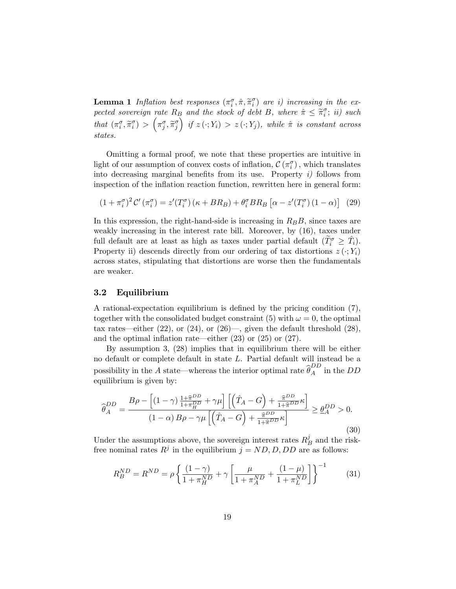**Lemma 1** Inflation best responses  $(\pi_i^{\sigma}, \hat{\pi}, \tilde{\pi}_i^{\sigma})$  are i) increasing in the ex*pected sovereign rate*  $R_B$  *and the stock of debt B, where*  $\hat{\pi} \leq \tilde{\pi}_i^{\sigma}$ ; *ii) such*  $that \left(\pi_i^{\sigma}, \widetilde{\pi}_i^{\sigma}\right) > \left(\pi_j^{\sigma}, \widetilde{\pi}_j^{\sigma}\right)$  $\int$  *if*  $z(\cdot; Y_i) > z(\cdot; Y_j)$ , while  $\hat{\pi}$  *is constant across states.*

Omitting a formal proof, we note that these properties are intuitive in light of our assumption of convex costs of inflation,  $\mathcal{C}(\pi_i^{\sigma})$ , which translates into decreasing marginal benefits from its use. Property *i)* follows from inspection of the inflation reaction function, rewritten here in general form:

$$
(1 + \pi_i^{\sigma})^2 C' (\pi_i^{\sigma}) = z'(T_i^{\sigma}) (\kappa + BR_B) + \theta_i^{\sigma} BR_B [\alpha - z'(T_i^{\sigma}) (1 - \alpha)] \tag{29}
$$

In this expression, the right-hand-side is increasing in *RBB,* since taxes are weakly increasing in the interest rate bill. Moreover, by (16), taxes under full default are at least as high as taxes under partial default  $(\widetilde{T}_i^{\sigma} \geq \widehat{T}_i)$ . Property ii) descends directly from our ordering of tax distortions  $z(\cdot; Y_i)$ across states, stipulating that distortions are worse then the fundamentals are weaker.

#### 3.2 Equilibrium

A rational-expectation equilibrium is defined by the pricing condition (7), together with the consolidated budget constraint (5) with  $\omega = 0$ , the optimal tax rates—either  $(22)$ , or  $(24)$ , or  $(26)$ —, given the default threshold  $(28)$ , and the optimal inflation rate–either (23) or (25) or (27).

By assumption 3, (28) implies that in equilibrium there will be either no default or complete default in state *L*. Partial default will instead be a possibility in the *A* state—whereas the interior optimal rate  $\widehat{\theta}_A^{DD}$  in the *DD* equilibrium is given by:

$$
\widehat{\theta}_{A}^{DD} = \frac{B\rho - \left[ (1-\gamma) \frac{1+\widehat{\pi}_{B}^{DD}}{1+\pi_{H}^{DD}} + \gamma \mu \right] \left[ \left( \widehat{T}_{A} - G \right) + \frac{\widehat{\pi}_{D}^{DD}}{1+\widehat{\pi}_{D}^{DD}} \kappa \right]}{(1-\alpha)B\rho - \gamma \mu \left[ \left( \widehat{T}_{A} - G \right) + \frac{\widehat{\pi}_{D}^{DD}}{1+\widehat{\pi}_{D}^{DD}} \kappa \right]} \ge \underline{\theta}_{A}^{DD} > 0.
$$
\n(30)

Under the assumptions above, the sovereign interest rates  $R_B^j$  and the riskfree nominal rates  $R^j$  in the equilibrium  $j = ND, D, DD$  are as follows:

$$
R_B^{ND} = R^{ND} = \rho \left\{ \frac{(1 - \gamma)}{1 + \pi_H^{ND}} + \gamma \left[ \frac{\mu}{1 + \pi_A^{ND}} + \frac{(1 - \mu)}{1 + \pi_L^{ND}} \right] \right\}^{-1}
$$
(31)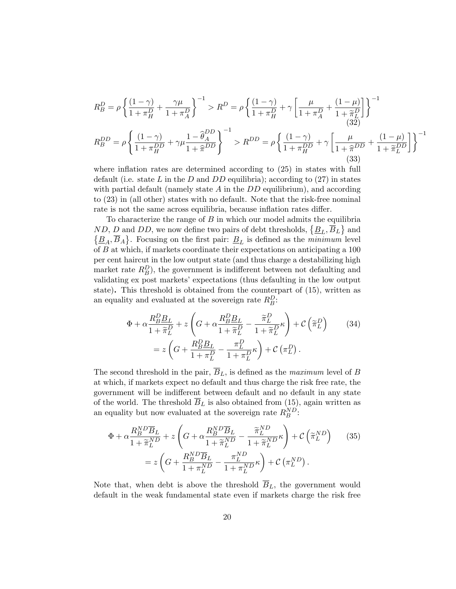$$
R_B^D = \rho \left\{ \frac{(1-\gamma)}{1+\pi_H^D} + \frac{\gamma \mu}{1+\pi_A^D} \right\}^{-1} > R^D = \rho \left\{ \frac{(1-\gamma)}{1+\pi_H^D} + \gamma \left[ \frac{\mu}{1+\pi_A^D} + \frac{(1-\mu)}{1+\pi_L^D} \right] \right\}^{-1}
$$
\n
$$
R_B^{DD} = \rho \left\{ \frac{(1-\gamma)}{1+\pi_H^{DD}} + \gamma \mu \frac{1-\hat{\theta}_A^{DD}}{1+\hat{\pi}^{DD}} \right\}^{-1} > R^{DD} = \rho \left\{ \frac{(1-\gamma)}{1+\pi_H^{DD}} + \gamma \left[ \frac{\mu}{1+\hat{\pi}^{DD}} + \frac{(1-\mu)}{1+\hat{\pi}_L^{DD}} \right] \right\}^{-1}
$$
\n(33)

where inflation rates are determined according to (25) in states with full default (i.e. state *L* in the *D* and *DD* equilibria); according to (27) in states with partial default (namely state *A* in the *DD* equilibrium), and according to (23) in (all other) states with no default. Note that the risk-free nominal rate is not the same across equilibria, because inflation rates differ.

To characterize the range of *B* in which our model admits the equilibria *ND*, *D* and *DD*, we now define two pairs of debt thresholds,  $\{B_L, \overline{B}_L\}$  and  $\{\underline{B}_A, \overline{B}_A\}$ . Focusing on the first pair:  $\underline{B}_L$  is defined as the *minimum* level of *B* at which, if markets coordinate their expectations on anticipating a 100 per cent haircut in the low output state (and thus charge a destabilizing high market rate  $R_B^D$ ), the government is indifferent between not defaulting and validating ex post markets' expectations (thus defaulting in the low output state). This threshold is obtained from the counterpart of (15), written as an equality and evaluated at the sovereign rate  $R_B^D$ :

$$
\Phi + \alpha \frac{R_B^D \underline{B}_L}{1 + \widetilde{\pi}_L^D} + z \left( G + \alpha \frac{R_B^D \underline{B}_L}{1 + \widetilde{\pi}_L^D} - \frac{\widetilde{\pi}_L^D}{1 + \widetilde{\pi}_L^D} \kappa \right) + C \left( \widetilde{\pi}_L^D \right) \tag{34}
$$
\n
$$
= z \left( G + \frac{R_B^D \underline{B}_L}{1 + \pi_L^D} - \frac{\pi_L^D}{1 + \pi_L^D} \kappa \right) + C \left( \pi_L^D \right).
$$

The second threshold in the pair,  $\overline{B}_L$ , is defined as the *maximum* level of *B* at which, if markets expect no default and thus charge the risk free rate, the government will be indifferent between default and no default in any state of the world. The threshold  $\overline{B}_L$  is also obtained from (15), again written as an equality but now evaluated at the sovereign rate  $R_B^{ND}$ :

$$
\Phi + \alpha \frac{R_B^{ND} \overline{B}_L}{1 + \widetilde{\pi}_L^{ND}} + z \left( G + \alpha \frac{R_B^{ND} \overline{B}_L}{1 + \widetilde{\pi}_L^{ND}} - \frac{\widetilde{\pi}_L^{ND}}{1 + \widetilde{\pi}_L^{ND}} \kappa \right) + C \left( \widetilde{\pi}_L^{ND} \right) \tag{35}
$$
\n
$$
= z \left( G + \frac{R_B^{ND} \overline{B}_L}{1 + \pi_L^{ND}} - \frac{\pi_L^{ND}}{1 + \pi_L^{ND}} \kappa \right) + C \left( \pi_L^{ND} \right).
$$

Note that, when debt is above the threshold  $\overline{B}_L$ , the government would default in the weak fundamental state even if markets charge the risk free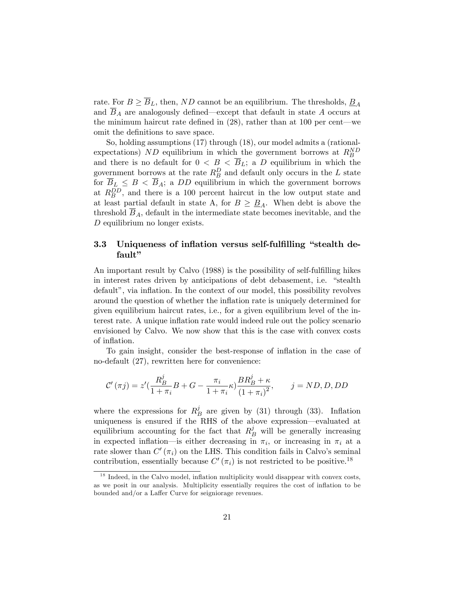rate. For  $B \geq \overline{B}_L$ , then, *ND* cannot be an equilibrium. The thresholds,  $\underline{B}_A$ and  $B_A$  are analogously defined—except that default in state  $A$  occurs at the minimum haircut rate defined in (28), rather than at 100 per cent–we omit the definitions to save space.

So, holding assumptions (17) through (18), our model admits a (rationalexpectations) *ND* equilibrium in which the government borrows at  $R_B^{ND}$ and there is no default for  $0 < B < \overline{B}_L$ ; a *D* equilibrium in which the government borrows at the rate  $R_B^D$  and default only occurs in the *L* state for  $B_L \leq B < B_A$ ; a *DD* equilibrium in which the government borrows at  $R_B^{DD}$ , and there is a 100 percent haircut in the low output state and at least partial default in state A, for  $B \geq B_A$ . When debt is above the threshold  $\overline{B}_A$ , default in the intermediate state becomes inevitable, and the *D* equilibrium no longer exists.

## 3.3 Uniqueness of inflation versus self-fulfilling "stealth default"

An important result by Calvo (1988) is the possibility of self-fulfilling hikes in interest rates driven by anticipations of debt debasement, i.e. "stealth default", via inflation. In the context of our model, this possibility revolves around the question of whether the inflation rate is uniquely determined for given equilibrium haircut rates, i.e., for a given equilibrium level of the interest rate. A unique inflation rate would indeed rule out the policy scenario envisioned by Calvo. We now show that this is the case with convex costs of inflation.

To gain insight, consider the best-response of inflation in the case of no-default (27), rewritten here for convenience:

$$
\mathcal{C}^{\prime}\left(\pi j\right)=z^{\prime}(\frac{R_{B}^{j}}{1+\pi_{i}}B+G-\frac{\pi_{i}}{1+\pi_{i}}\kappa)\frac{BR_{B}^{j}+\kappa}{\left(1+\pi_{i}\right)^{2}},\qquad j=ND,D,DD
$$

where the expressions for  $R_B^j$  are given by (31) through (33). Inflation uniqueness is ensured if the RHS of the above expression–evaluated at equilibrium accounting for the fact that  $R_B^j$  will be generally increasing in expected inflation—is either decreasing in  $\pi_i$ , or increasing in  $\pi_i$  at a rate slower than  $C'(\pi_i)$  on the LHS. This condition fails in Calvo's seminal contribution, essentially because  $C'(\pi_i)$  is not restricted to be positive.<sup>18</sup>

 $1<sup>8</sup>$  Indeed, in the Calvo model, inflation multiplicity would disappear with convex costs, as we posit in our analysis. Multiplicity essentially requires the cost of inflation to be bounded and/or a Laffer Curve for seigniorage revenues.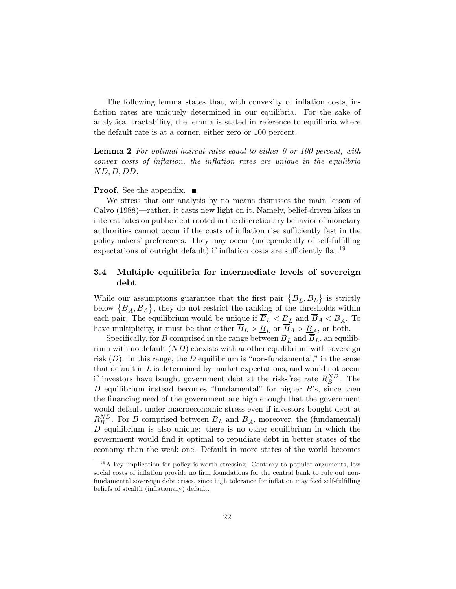The following lemma states that, with convexity of inflation costs, inflation rates are uniquely determined in our equilibria. For the sake of analytical tractability, the lemma is stated in reference to equilibria where the default rate is at a corner, either zero or 100 percent.

Lemma 2 *For optimal haircut rates equal to either 0 or 100 percent, with convex costs of inflation, the inflation rates are unique in the equilibria ND,D, DD.*

#### **Proof.** See the appendix.  $\blacksquare$

We stress that our analysis by no means dismisses the main lesson of Calvo (1988)–rather, it casts new light on it. Namely, belief-driven hikes in interest rates on public debt rooted in the discretionary behavior of monetary authorities cannot occur if the costs of inflation rise sufficiently fast in the policymakers' preferences. They may occur (independently of self-fulfilling expectations of outright default) if inflation costs are sufficiently flat.<sup>19</sup>

## 3.4 Multiple equilibria for intermediate levels of sovereign debt

While our assumptions guarantee that the first pair  $\{\underline{B}_L, \overline{B}_L\}$  is strictly below  $\{\underline{B}_A, \overline{B}_A\}$ , they do not restrict the ranking of the thresholds within each pair. The equilibrium would be unique if  $\overline{B}_L < \underline{B}_L$  and  $\overline{B}_A < \underline{B}_A$ . To have multiplicity, it must be that either  $\overline{B}_L > \underline{B}_L$  or  $\overline{B}_A > \underline{B}_A$ , or both.

Specifically, for *B* comprised in the range between  $\underline{B}_L$  and  $B_L$ , an equilibrium with no default (*ND*) coexists with another equilibrium with sovereign risk  $(D)$ . In this range, the *D* equilibrium is "non-fundamental," in the sense that default in *L* is determined by market expectations, and would not occur if investors have bought government debt at the risk-free rate  $R_B^{ND}$ . The *D* equilibrium instead becomes "fundamental" for higher *B*'s, since then the financing need of the government are high enough that the government would default under macroeconomic stress even if investors bought debt at  $R_B^{ND}$ . For *B* comprised between  $\overline{B}_L$  and  $\underline{B}_A$ , moreover, the (fundamental) *D* equilibrium is also unique: there is no other equilibrium in which the government would find it optimal to repudiate debt in better states of the economy than the weak one. Default in more states of the world becomes

 $19A$  key implication for policy is worth stressing. Contrary to popular arguments, low social costs of inflation provide no firm foundations for the central bank to rule out nonfundamental sovereign debt crises, since high tolerance for inflation may feed self-fulfilling beliefs of stealth (inflationary) default.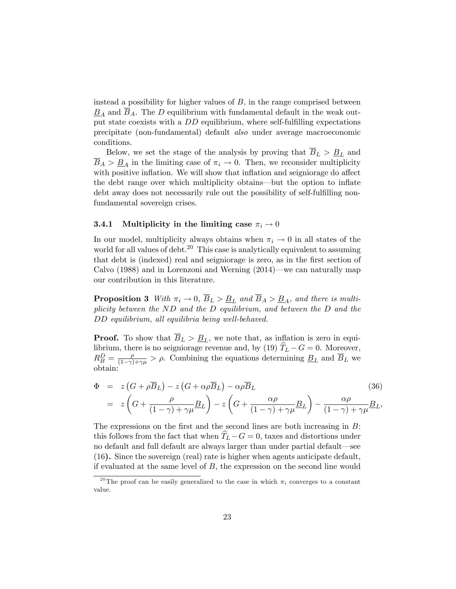instead a possibility for higher values of *B,* in the range comprised between  $B_A$  and  $B_A$ . The *D* equilibrium with fundamental default in the weak output state coexists with a *DD* equilibrium, where self-fulfilling expectations precipitate (non-fundamental) default *also* under average macroeconomic conditions.

Below, we set the stage of the analysis by proving that  $\overline{B}_L > \underline{B}_L$  and  $B_A > \underline{B}_A$  in the limiting case of  $\pi_i \to 0$ . Then, we reconsider multiplicity with positive inflation. We will show that inflation and seigniorage do affect the debt range over which multiplicity obtains–but the option to inflate debt away does not necessarily rule out the possibility of self-fulfilling nonfundamental sovereign crises.

#### **3.4.1** Multiplicity in the limiting case  $\pi_i \to 0$

In our model, multiplicity always obtains when  $\pi_i \to 0$  in all states of the world for all values of debt.<sup>20</sup> This case is analytically equivalent to assuming that debt is (indexed) real and seigniorage is zero, as in the first section of Calvo (1988) and in Lorenzoni and Werning (2014)–we can naturally map our contribution in this literature.

**Proposition 3** *With*  $\pi_i \to 0$ ,  $\overline{B}_L > \underline{B}_L$  and  $\overline{B}_A > \underline{B}_A$ , and there is multi*plicity between the ND and the D equilibrium, and between the D and the DD equilibrium, all equilibria being well-behaved.*

**Proof.** To show that  $\overline{B}_L > \underline{B}_L$ , we note that, as inflation is zero in equilibrium, there is no seigniorage revenue and, by (19)  $\hat{T}_L - G = 0$ . Moreover,  $R_B^D = \frac{\rho}{(1-\gamma)+\gamma\mu} > \rho$ . Combining the equations determining  $B_L$  and  $\overline{B}_L$  we obtain:

$$
\Phi = z (G + \rho \overline{B}_L) - z (G + \alpha \rho \overline{B}_L) - \alpha \rho \overline{B}_L
$$
\n
$$
= z \left( G + \frac{\rho}{(1 - \gamma) + \gamma \mu} \underline{B}_L \right) - z \left( G + \frac{\alpha \rho}{(1 - \gamma) + \gamma \mu} \underline{B}_L \right) - \frac{\alpha \rho}{(1 - \gamma) + \gamma \mu} \underline{B}_L,
$$
\n(36)

The expressions on the first and the second lines are both increasing in *B*: this follows from the fact that when  $\tilde{T}_L - G = 0$ , taxes and distortions under no default and full default are always larger than under partial default–see (16). Since the sovereign (real) rate is higher when agents anticipate default, if evaluated at the same level of *B*, the expression on the second line would

<sup>&</sup>lt;sup>20</sup>The proof can be easily generalized to the case in which  $\pi_i$  converges to a constant value.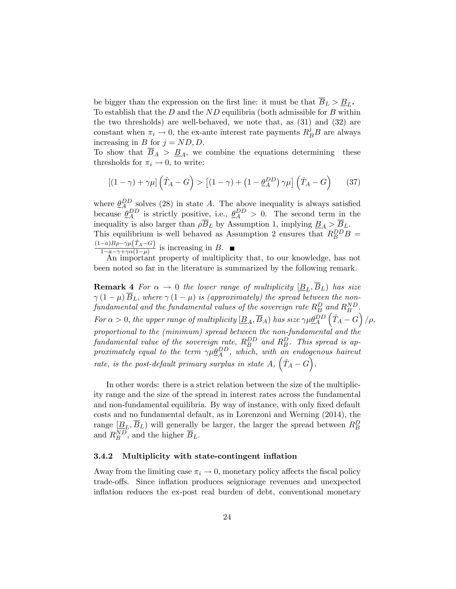be bigger than the expression on the first line: it must be that  $\overline{B}_L > \underline{B}_L$ . To establish that the *D* and the *ND* equilibria (both admissible for *B* within the two thresholds) are well-behaved, we note that, as (31) and (32) are constant when  $\pi_i \to 0$ , the ex-ante interest rate payments  $R_B^j B$  are always increasing in *B* for  $j = ND, D$ .

To show that  $\overline{B}_A > \underline{B}_A$ , we combine the equations determining these thresholds for  $\pi_i \to 0$ , to write:

$$
\left[ (1 - \gamma) + \gamma \mu \right] \left( \hat{T}_A - G \right) > \left[ (1 - \gamma) + \left( 1 - \underline{\theta}_A^{DD} \right) \gamma \mu \right] \left( \hat{T}_A - G \right) \tag{37}
$$

where  $\underline{\theta}_{A}^{DD}$  solves (28) in state *A*. The above inequality is always satisfied because  $\underline{\theta}_{A}^{DD}$  is strictly positive, i.e.,  $\underline{\theta}_{A}^{DD} > 0$ . The second term in the inequality is also larger than  $\rho B_L$  by Assumption 1, implying  $\underline{B}_A > \underline{B}_L$ . This equilibrium is well behaved as Assumption 2 ensures that  $R_B^{DD}B$  =  $\frac{(1-a)B\rho-\gamma\mu(\hat{T}_A-G)}{1-a-\gamma+\gamma\alpha(1-\mu)}$  is increasing in *B*. ■<br>An important property of multiplicity that, to our knowledge, has not

been noted so far in the literature is summarized by the following remark.

**Remark 4** *For*  $\alpha \to 0$  *the lower range of multiplicity*  $[\underline{B}_L, \overline{B}_L]$  *has size*  $\gamma(1-\mu)\overline{B}_L$ , where  $\gamma(1-\mu)$  *is (approximately) the spread between the non* $fundamental\ and\ the\ fundamental\ values\ of\ the\ sovereign\ rate\ R_B^D\ and\ R_B^{ND}$  . *For*  $\alpha > 0$ *, the upper range of multiplicity*  $[\underline{B}_A, \overline{B}_A)$  *has size*  $\gamma \mu \underline{\theta}_A^{DD}$  $\left(\hat{T}_A - G\right)/\rho,$ *proportional to the (minimum) spread between the non-fundamental and the fundamental value of the sovereign rate,*  $R_B^{DD}$  *and*  $R_B^D$ *. This spread is approximately equal to the term*  $\gamma \mu \underline{\theta}_A^{DD}$ , which, with an endogenous haircut *rate, is the post-default primary surplus in state*  $A$ *,*  $(\hat{T}_A - G)$ *.* 

In other words: there is a strict relation between the size of the multiplicity range and the size of the spread in interest rates across the fundamental and non-fundamental equilibria. By way of instance, with only fixed default costs and no fundamental default, as in Lorenzoni and Werning (2014), the range  $[\underline{B}_L, \overline{B}_L)$  will generally be larger, the larger the spread between  $R_B^D$ and  $R_B^{ND}$ , and the higher  $\overline{B}_L$ .

#### 3.4.2 Multiplicity with state-contingent inflation

Away from the limiting case  $\pi_i \to 0$ , monetary policy affects the fiscal policy trade-o§s. Since inflation produces seigniorage revenues and unexpected inflation reduces the ex-post real burden of debt, conventional monetary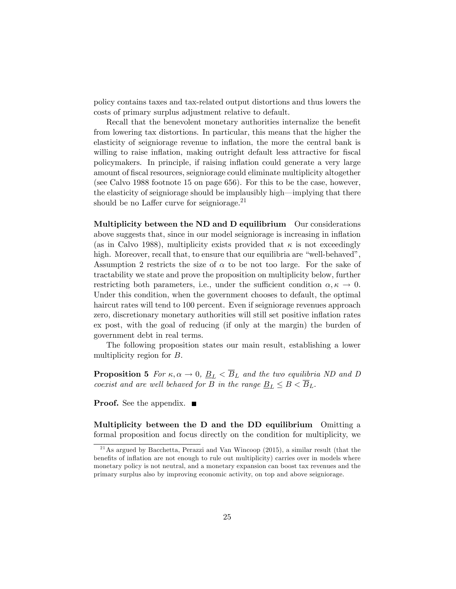policy contains taxes and tax-related output distortions and thus lowers the costs of primary surplus adjustment relative to default.

Recall that the benevolent monetary authorities internalize the benefit from lowering tax distortions. In particular, this means that the higher the elasticity of seigniorage revenue to inflation, the more the central bank is willing to raise inflation, making outright default less attractive for fiscal policymakers. In principle, if raising inflation could generate a very large amount of fiscal resources, seigniorage could eliminate multiplicity altogether (see Calvo 1988 footnote 15 on page 656). For this to be the case, however, the elasticity of seigniorage should be implausibly high–implying that there should be no Laffer curve for seigniorage. $^{21}$ 

Multiplicity between the ND and D equilibrium Our considerations above suggests that, since in our model seigniorage is increasing in inflation (as in Calvo 1988), multiplicity exists provided that  $\kappa$  is not exceedingly high. Moreover, recall that, to ensure that our equilibria are "well-behaved", Assumption 2 restricts the size of  $\alpha$  to be not too large. For the sake of tractability we state and prove the proposition on multiplicity below, further restricting both parameters, i.e., under the sufficient condition  $\alpha, \kappa \to 0$ . Under this condition, when the government chooses to default, the optimal haircut rates will tend to 100 percent. Even if seigniorage revenues approach zero, discretionary monetary authorities will still set positive inflation rates ex post, with the goal of reducing (if only at the margin) the burden of government debt in real terms.

The following proposition states our main result, establishing a lower multiplicity region for *B*.

**Proposition 5** *For*  $\kappa, \alpha \to 0, \underline{B}_L < \overline{B}_L$  *and the two equilibria ND and D coexist and are well behaved for B in the range*  $B_L \leq B \leq \overline{B}_L$ .

**Proof.** See the appendix.  $\blacksquare$ 

Multiplicity between the D and the DD equilibrium Omitting a formal proposition and focus directly on the condition for multiplicity, we

<sup>&</sup>lt;sup>21</sup> As argued by Bacchetta, Perazzi and Van Wincoop  $(2015)$ , a similar result (that the benefits of inflation are not enough to rule out multiplicity) carries over in models where monetary policy is not neutral, and a monetary expansion can boost tax revenues and the primary surplus also by improving economic activity, on top and above seigniorage.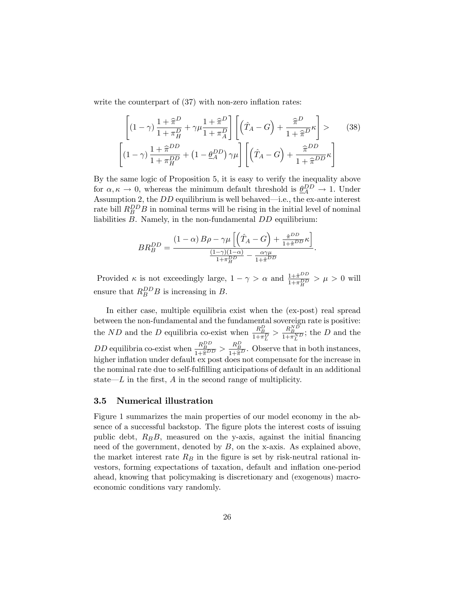write the counterpart of  $(37)$  with non-zero inflation rates:

$$
\left[ (1-\gamma) \frac{1+\widehat{\pi}^D}{1+\pi_H^D} + \gamma \mu \frac{1+\widehat{\pi}^D}{1+\pi_A^D} \right] \left[ \left( \widehat{T}_A - G \right) + \frac{\widehat{\pi}^D}{1+\widehat{\pi}^D} \kappa \right] > \qquad (38)
$$

$$
\left[ (1-\gamma) \frac{1+\widehat{\pi}^{DD}}{1+\pi_H^D} + \left( 1 - \underline{\theta}_A^{DD} \right) \gamma \mu \right] \left[ \left( \widehat{T}_A - G \right) + \frac{\widehat{\pi}^{DD}}{1+\widehat{\pi}^{DD}} \kappa \right]
$$

By the same logic of Proposition 5, it is easy to verify the inequality above for  $\alpha, \kappa \to 0$ , whereas the minimum default threshold is  $\frac{\partial P}{\partial A} \to 1$ . Under Assumption 2, the *DD* equilibrium is well behaved–i.e., the ex-ante interest rate bill  $R_B^{DD}B$  in nominal terms will be rising in the initial level of nominal liabilities *B*. Namely, in the non-fundamental *DD* equilibrium:

$$
BR_B^{DD} = \frac{(1 - \alpha)B\rho - \gamma\mu \left[ \left( \hat{T}_A - G \right) + \frac{\hat{\pi}^{DD}}{1 + \hat{\pi}^{DD}} \kappa \right]}{\frac{(1 - \gamma)(1 - \alpha)}{1 + \pi_B^{DD}} - \frac{\alpha\gamma\mu}{1 + \hat{\pi}^{DD}}}
$$

.

Provided  $\kappa$  is not exceedingly large,  $1 - \gamma > \alpha$  and  $\frac{1 + \hat{\pi}^{DD}}{1 + \pi_H^{DD}} > \mu > 0$  will ensure that  $R_B^{DD}B$  is increasing in *B*.

In either case, multiple equilibria exist when the (ex-post) real spread between the non-fundamental and the fundamental sovereign rate is positive: the *ND* and the *D* equilibria co-exist when  $\frac{R_B^D}{1+\pi_L^D} > \frac{R_B^{ND}}{1+\pi_L^{ND}}$ ; the *D* and the *DD* equilibria co-exist when  $\frac{R_B^{BD}}{1+\hat{\pi}^{DD}} > \frac{R_B^D}{1+\hat{\pi}^D}$ . Observe that in both instances, bigher inflation under default or post does not components for the ingresse in higher inflation under default ex post does not compensate for the increase in the nominal rate due to self-fulfilling anticipations of default in an additional state–*L* in the first, *A* in the second range of multiplicity.

#### 3.5 Numerical illustration

Figure 1 summarizes the main properties of our model economy in the absence of a successful backstop. The figure plots the interest costs of issuing public debt, *RBB*, measured on the y-axis, against the initial financing need of the government, denoted by *B*, on the x-axis. As explained above, the market interest rate *R<sup>B</sup>* in the figure is set by risk-neutral rational investors, forming expectations of taxation, default and inflation one-period ahead, knowing that policymaking is discretionary and (exogenous) macroeconomic conditions vary randomly.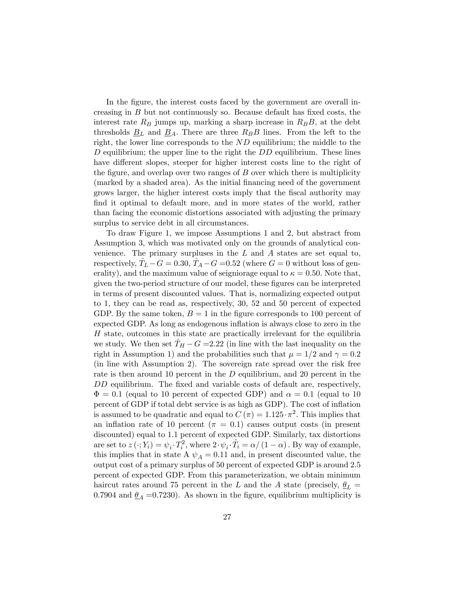In the figure, the interest costs faced by the government are overall increasing in *B* but not continuously so. Because default has fixed costs, the interest rate  $R_B$  jumps up, marking a sharp increase in  $R_B B$ , at the debt thresholds  $\underline{B}_L$  and  $\underline{B}_A$ . There are three  $R_B B$  lines. From the left to the right, the lower line corresponds to the *ND* equilibrium; the middle to the *D* equilibrium; the upper line to the right the *DD* equilibrium. These lines have different slopes, steeper for higher interest costs line to the right of the figure, and overlap over two ranges of *B* over which there is multiplicity (marked by a shaded area). As the initial financing need of the government grows larger, the higher interest costs imply that the fiscal authority may find it optimal to default more, and in more states of the world, rather than facing the economic distortions associated with adjusting the primary surplus to service debt in all circumstances.

To draw Figure 1, we impose Assumptions 1 and 2, but abstract from Assumption 3, which was motivated only on the grounds of analytical convenience. The primary surpluses in the *L* and *A* states are set equal to, respectively,  $\hat{T}_L - G = 0.30$ ,  $\hat{T}_A - G = 0.52$  (where  $G = 0$  without loss of generality), and the maximum value of seigniorage equal to  $\kappa = 0.50$ . Note that, given the two-period structure of our model, these figures can be interpreted in terms of present discounted values. That is, normalizing expected output to 1, they can be read as, respectively, 30, 52 and 50 percent of expected GDP. By the same token,  $B = 1$  in the figure corresponds to 100 percent of expected GDP. As long as endogenous inflation is always close to zero in the *H* state, outcomes in this state are practically irrelevant for the equilibria we study. We then set  $\hat{T}_H - G = 2.22$  (in line with the last inequality on the right in Assumption 1) and the probabilities such that  $\mu = 1/2$  and  $\gamma = 0.2$ (in line with Assumption 2). The sovereign rate spread over the risk free rate is then around 10 percent in the *D* equilibrium, and 20 percent in the *DD* equilibrium. The fixed and variable costs of default are, respectively,  $\Phi = 0.1$  (equal to 10 percent of expected GDP) and  $\alpha = 0.1$  (equal to 10) percent of GDP if total debt service is as high as GDP). The cost of inflation is assumed to be quadratic and equal to  $C(\pi) = 1.125 \cdot \pi^2$ . This implies that an inflation rate of 10 percent ( $\pi = 0.1$ ) causes output costs (in present discounted) equal to 1.1 percent of expected GDP. Similarly, tax distortions are set to  $z(\cdot; Y_i) = \psi_i \cdot T_i^2$ , where  $2 \cdot \psi_i \cdot \hat{T}_i = \alpha / (1 - \alpha)$ . By way of example, this implies that in state A  $\psi_A = 0.11$  and, in present discounted value, the output cost of a primary surplus of 50 percent of expected GDP is around 2.5 percent of expected GDP. From this parameterization, we obtain minimum haircut rates around 75 percent in the *L* and the *A* state (precisely,  $\theta_L$  = 0.7904 and  $\underline{\theta}_A$  =0.7230). As shown in the figure, equilibrium multiplicity is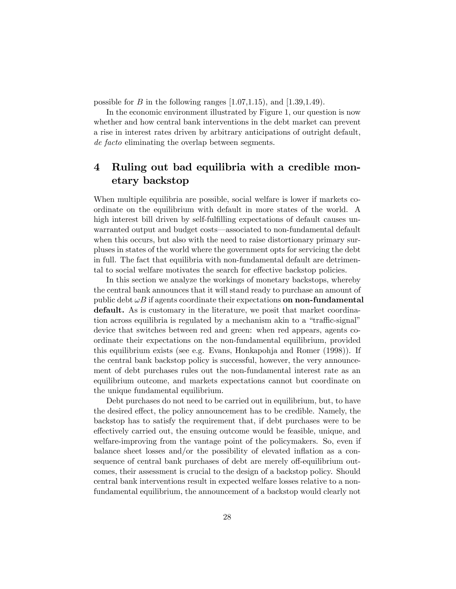possible for *B* in the following ranges  $[1.07, 1.15)$ , and  $[1.39, 1.49)$ .

In the economic environment illustrated by Figure 1, our question is now whether and how central bank interventions in the debt market can prevent a rise in interest rates driven by arbitrary anticipations of outright default, *de facto* eliminating the overlap between segments.

# 4 Ruling out bad equilibria with a credible monetary backstop

When multiple equilibria are possible, social welfare is lower if markets coordinate on the equilibrium with default in more states of the world. A high interest bill driven by self-fulfilling expectations of default causes unwarranted output and budget costs–associated to non-fundamental default when this occurs, but also with the need to raise distortionary primary surpluses in states of the world where the government opts for servicing the debt in full. The fact that equilibria with non-fundamental default are detrimental to social welfare motivates the search for effective backstop policies.

In this section we analyze the workings of monetary backstops, whereby the central bank announces that it will stand ready to purchase an amount of public debt  $\omega B$  if agents coordinate their expectations **on non-fundamental** default. As is customary in the literature, we posit that market coordination across equilibria is regulated by a mechanism akin to a "traffic-signal" device that switches between red and green: when red appears, agents coordinate their expectations on the non-fundamental equilibrium, provided this equilibrium exists (see e.g. Evans, Honkapohja and Romer (1998)). If the central bank backstop policy is successful, however, the very announcement of debt purchases rules out the non-fundamental interest rate as an equilibrium outcome, and markets expectations cannot but coordinate on the unique fundamental equilibrium.

Debt purchases do not need to be carried out in equilibrium, but, to have the desired effect, the policy announcement has to be credible. Namely, the backstop has to satisfy the requirement that, if debt purchases were to be effectively carried out, the ensuing outcome would be feasible, unique, and welfare-improving from the vantage point of the policymakers. So, even if balance sheet losses and/or the possibility of elevated inflation as a consequence of central bank purchases of debt are merely off-equilibrium outcomes, their assessment is crucial to the design of a backstop policy. Should central bank interventions result in expected welfare losses relative to a nonfundamental equilibrium, the announcement of a backstop would clearly not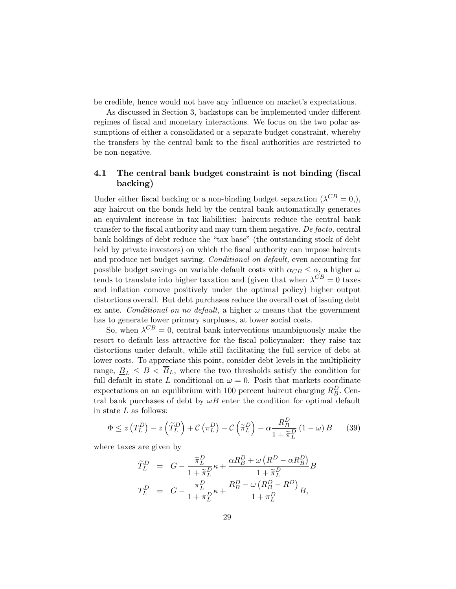be credible, hence would not have any influence on market's expectations.

As discussed in Section 3, backstops can be implemented under different regimes of fiscal and monetary interactions. We focus on the two polar assumptions of either a consolidated or a separate budget constraint, whereby the transfers by the central bank to the fiscal authorities are restricted to be non-negative.

## 4.1 The central bank budget constraint is not binding (fiscal backing)

Under either fiscal backing or a non-binding budget separation  $({\lambda}^{CB} = 0)$ , any haircut on the bonds held by the central bank automatically generates an equivalent increase in tax liabilities: haircuts reduce the central bank transfer to the fiscal authority and may turn them negative. *De facto,* central bank holdings of debt reduce the "tax base" (the outstanding stock of debt held by private investors) on which the fiscal authority can impose haircuts and produce net budget saving. *Conditional on default,* even accounting for possible budget savings on variable default costs with  $\alpha_{CB} \leq \alpha$ , a higher  $\omega$ tends to translate into higher taxation and (given that when  $\lambda^{CB} = 0$  taxes and inflation comove positively under the optimal policy) higher output distortions overall. But debt purchases reduce the overall cost of issuing debt ex ante. *Conditional on no default*, a higher  $\omega$  means that the government has to generate lower primary surpluses, at lower social costs.

So, when  $\lambda^{CB} = 0$ , central bank interventions unambiguously make the resort to default less attractive for the fiscal policymaker: they raise tax distortions under default, while still facilitating the full service of debt at lower costs. To appreciate this point, consider debt levels in the multiplicity range,  $\underline{B}_L \leq B \leq \overline{B}_L$ , where the two thresholds satisfy the condition for full default in state *L* conditional on  $\omega = 0$ . Posit that markets coordinate expectations on an equilibrium with 100 percent haircut charging  $R_B^D$ . Central bank purchases of debt by  $\omega B$  enter the condition for optimal default in state *L* as follows:

$$
\Phi \le z \left( T_L^D \right) - z \left( \widetilde{T}_L^D \right) + \mathcal{C} \left( \pi_L^D \right) - \mathcal{C} \left( \widetilde{\pi}_L^D \right) - \alpha \frac{R_B^D}{1 + \widetilde{\pi}_L^D} \left( 1 - \omega \right) B \tag{39}
$$

where taxes are given by

$$
\begin{array}{rcl} \widetilde{T}^D_L &=& G - \dfrac{\widetilde{\pi}^D_L}{1+\widetilde{\pi}^D_L} \kappa + \dfrac{\alpha R^D_B + \omega \left( R^D - \alpha R^D_B \right)}{1+\widetilde{\pi}^D_L} B \\ T^D_L &=& G - \dfrac{\pi^D_L}{1+\pi^D_L} \kappa + \dfrac{R^D_B - \omega \left( R^D_B - R^D \right)}{1+\pi^D_L} B, \end{array}
$$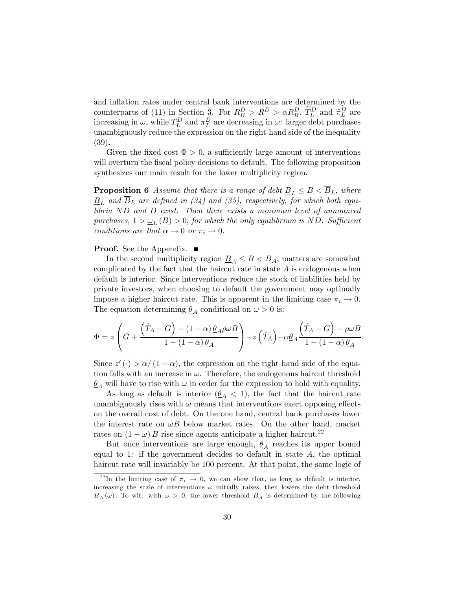and inflation rates under central bank interventions are determined by the counterparts of (11) in Section 3. For  $R_B^D > R^D > \alpha R_B^D$ ,  $\tilde{T}_L^D$  and  $\tilde{\pi}_L^D$  are increasing in  $\omega$ , while  $T_L^D$  and  $\pi_L^D$  are decreasing in  $\omega$ : larger debt purchases unambiguously reduce the expression on the right-hand side of the inequality (39).

Given the fixed cost  $\Phi > 0$ , a sufficiently large amount of interventions will overturn the fiscal policy decisions to default. The following proposition synthesizes our main result for the lower multiplicity region.

**Proposition 6** *Assume that there is a range of debt*  $\underline{B}_L \leq B \leq \overline{B}_L$ *, where*  $B_L$  and  $\overline{B}_L$  are defined in (34) and (35), respectively, for which both equi*libria ND and D exist. Then there exists a minimum level of announced*  $p$ *urchases,*  $1 > \omega_L(B) > 0$ , *for which the only equilibrium is ND. Sufficient conditions are that*  $\alpha \to 0$  *or*  $\pi_i \to 0$ *.* 

#### **Proof.** See the Appendix. ■

In the second multiplicity region  $\underline{B}_A \leq B < \overline{B}_A$ , matters are somewhat complicated by the fact that the haircut rate in state *A* is endogenous when default is interior. Since interventions reduce the stock of liabilities held by private investors, when choosing to default the government may optimally impose a higher haircut rate. This is apparent in the limiting case  $\pi_i \to 0$ . The equation determining  $\underline{\theta}_A$  conditional on  $\omega > 0$  is:

$$
\Phi = z \left( G + \frac{\left( \hat{T}_A - G \right) - (1 - \alpha) \underline{\theta}_A \rho \omega B}{1 - (1 - \alpha) \underline{\theta}_A} \right) - z \left( \hat{T}_A \right) - \alpha \underline{\theta}_A \frac{\left( \hat{T}_A - G \right) - \rho \omega B}{1 - (1 - \alpha) \underline{\theta}_A}.
$$

Since  $z'(\cdot) > \alpha/(1 - \alpha)$ , the expression on the right hand side of the equation falls with an increase in  $\omega$ . Therefore, the endogenous haircut threshold  $\theta_A$  will have to rise with  $\omega$  in order for the expression to hold with equality.

As long as default is interior  $(\underline{\theta}_A < 1)$ , the fact that the haircut rate unambiguously rises with  $\omega$  means that interventions exert opposing effects on the overall cost of debt. On the one hand, central bank purchases lower the interest rate on  $\omega B$  below market rates. On the other hand, market rates on  $(1 - \omega) B$  rise since agents anticipate a higher haircut.<sup>22</sup>

But once interventions are large enough,  $\mathcal{Q}_A$  reaches its upper bound equal to 1: if the government decides to default in state *A,* the optimal haircut rate will invariably be 100 percent. At that point, the same logic of

<sup>&</sup>lt;sup>22</sup>In the limiting case of  $\pi_i \rightarrow 0$ , we can show that, as long as default is interior, increasing the scale of interventions  $\omega$  initially raises, then lowers the debt threshold  $B_A(\omega)$ . To wit: with  $\omega > 0$ , the lower threshold  $B_A$  is determined by the following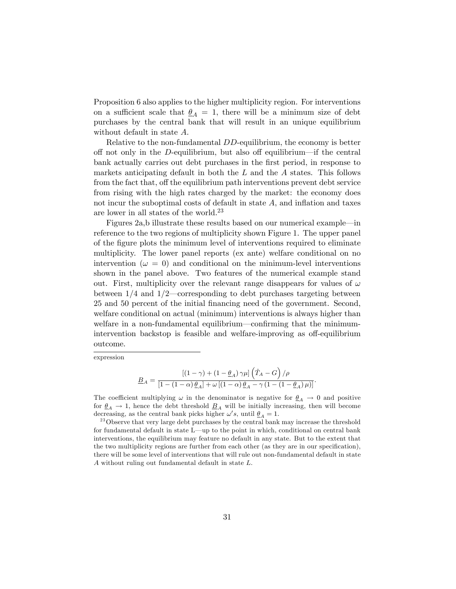Proposition 6 also applies to the higher multiplicity region. For interventions on a sufficient scale that  $\theta_A = 1$ , there will be a minimum size of debt purchases by the central bank that will result in an unique equilibrium without default in state *A*.

Relative to the non-fundamental *DD*-equilibrium, the economy is better off not only in the *D*-equilibrium, but also off equilibrium—if the central bank actually carries out debt purchases in the first period, in response to markets anticipating default in both the *L* and the *A* states. This follows from the fact that, off the equilibrium path interventions prevent debt service from rising with the high rates charged by the market: the economy does not incur the suboptimal costs of default in state *A*, and inflation and taxes are lower in all states of the world.<sup>23</sup>

Figures 2a,b illustrate these results based on our numerical example–in reference to the two regions of multiplicity shown Figure 1. The upper panel of the figure plots the minimum level of interventions required to eliminate multiplicity. The lower panel reports (ex ante) welfare conditional on no intervention ( $\omega = 0$ ) and conditional on the minimum-level interventions shown in the panel above. Two features of the numerical example stand out. First, multiplicity over the relevant range disappears for values of  $\omega$ between  $1/4$  and  $1/2$ —corresponding to debt purchases targeting between 25 and 50 percent of the initial financing need of the government. Second, welfare conditional on actual (minimum) interventions is always higher than welfare in a non-fundamental equilibrium–confirming that the minimumintervention backstop is feasible and welfare-improving as off-equilibrium outcome.

expression

$$
\underline{B}_A = \frac{\left[ (1 - \gamma) + (1 - \underline{\theta}_A) \gamma \mu \right] \left( \hat{T}_A - G \right) / \rho}{\left[ 1 - (1 - \alpha) \underline{\theta}_A \right] + \omega \left[ (1 - \alpha) \underline{\theta}_A - \gamma \left( 1 - (1 - \underline{\theta}_A) \mu \right) \right]}.
$$

The coefficient multiplying  $\omega$  in the denominator is negative for  $\underline{\theta}_A \to 0$  and positive for  $\underline{\theta}_A \rightarrow 1$ , hence the debt threshold  $\underline{B}_A$  will be initially increasing, then will become decreasing, as the central bank picks higher  $\omega' s$ , until  $\theta_A = 1$ .

<sup>23</sup> Observe that very large debt purchases by the central bank may increase the threshold for fundamental default in state L–up to the point in which, conditional on central bank interventions, the equilibrium may feature no default in any state. But to the extent that the two multiplicity regions are further from each other (as they are in our specification), there will be some level of interventions that will rule out non-fundamental default in state *A* without ruling out fundamental default in state *L*.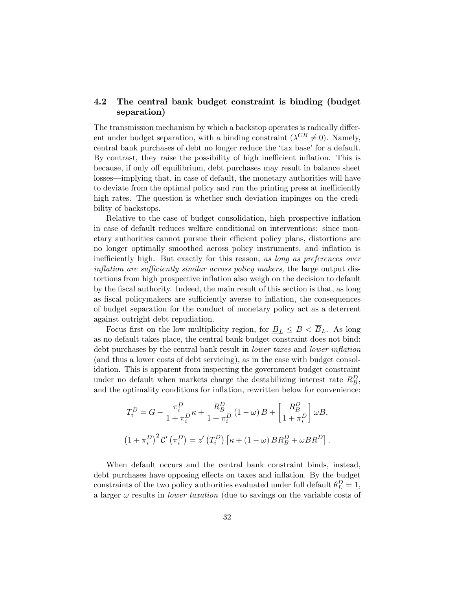## 4.2 The central bank budget constraint is binding (budget separation)

The transmission mechanism by which a backstop operates is radically different under budget separation, with a binding constraint ( $\lambda^{CB} \neq 0$ ). Namely, central bank purchases of debt no longer reduce the 'tax base' for a default. By contrast, they raise the possibility of high inefficient inflation. This is because, if only off equilibrium, debt purchases may result in balance sheet losses–implying that, in case of default, the monetary authorities will have to deviate from the optimal policy and run the printing press at inefficiently high rates. The question is whether such deviation impinges on the credibility of backstops.

Relative to the case of budget consolidation, high prospective inflation in case of default reduces welfare conditional on interventions: since monetary authorities cannot pursue their efficient policy plans, distortions are no longer optimally smoothed across policy instruments, and inflation is inefficiently high. But exactly for this reason, *as long as preferences over inflation are sufficiently similar across policy makers,* the large output distortions from high prospective inflation also weigh on the decision to default by the fiscal authority. Indeed, the main result of this section is that, as long as fiscal policymakers are sufficiently averse to inflation, the consequences of budget separation for the conduct of monetary policy act as a deterrent against outright debt repudiation.

Focus first on the low multiplicity region, for  $\underline{B}_L \leq B < \overline{B}_L$ . As long as no default takes place, the central bank budget constraint does not bind: debt purchases by the central bank result in *lower taxes* and *lower inflation* (and thus a lower costs of debt servicing), as in the case with budget consolidation. This is apparent from inspecting the government budget constraint under no default when markets charge the destabilizing interest rate  $R_B^D$ , and the optimality conditions for inflation, rewritten below for convenience:

$$
T_i^D = G - \frac{\pi_i^D}{1 + \pi_i^D} \kappa + \frac{R_B^D}{1 + \pi_i^D} (1 - \omega) B + \left[ \frac{R_B^D}{1 + \pi_i^D} \right] \omega B,
$$
  

$$
(1 + \pi_i^D)^2 C' (\pi_i^D) = z' (T_i^D) [\kappa + (1 - \omega) BR_B^D + \omega BR^D].
$$

When default occurs and the central bank constraint binds, instead, debt purchases have opposing effects on taxes and inflation. By the budget constraints of the two policy authorities evaluated under full default  $\theta_L^D = 1$ , a larger  $\omega$  results in *lower taxation* (due to savings on the variable costs of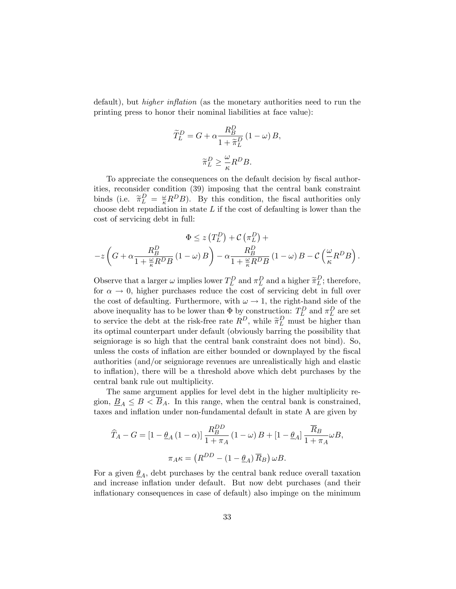default), but *higher inflation* (as the monetary authorities need to run the printing press to honor their nominal liabilities at face value):

$$
\widetilde{T}_{L}^{D} = G + \alpha \frac{R_{B}^{D}}{1 + \widetilde{\pi}_{L}^{D}} (1 - \omega) B,
$$

$$
\widetilde{\pi}_{L}^{D} \ge \frac{\omega}{\kappa} R^{D} B.
$$

To appreciate the consequences on the default decision by fiscal authorities, reconsider condition (39) imposing that the central bank constraint binds (i.e.  $\widetilde{\pi}_L^D = \frac{\omega}{\kappa} R^D B$ ). By this condition, the fiscal authorities only choose debt repudiation in state *L* if the cost of defaulting is lower than the cost of servicing debt in full:

$$
\Phi \le z \left( T_L^D \right) + C \left( \pi_L^D \right) +
$$
  
-z \left( G + \alpha \frac{R\_B^D}{1 + \frac{\omega}{\kappa} R^D B} \left( 1 - \omega \right) B \right) - \alpha \frac{R\_B^D}{1 + \frac{\omega}{\kappa} R^D B} \left( 1 - \omega \right) B - C \left( \frac{\omega}{\kappa} R^D B \right).

Observe that a larger  $\omega$  implies lower  $T_L^D$  and  $\pi_L^D$  and a higher  $\widetilde{\pi}_L^D$ ; therefore, for  $\alpha \to 0$ , higher purchases reduce the cost of servicing debt in full over the cost of defaulting. Furthermore, with  $\omega \to 1$ , the right-hand side of the above inequality has to be lower than  $\Phi$  by construction:  $T_L^D$  and  $\pi_L^D$  are set to service the debt at the risk-free rate  $R^D$ , while  $\widetilde{\pi}_L^D$  must be higher than its optimal counterpart under default (obviously barring the possibility that seigniorage is so high that the central bank constraint does not bind). So, unless the costs of inflation are either bounded or downplayed by the fiscal authorities (and/or seigniorage revenues are unrealistically high and elastic to inflation), there will be a threshold above which debt purchases by the central bank rule out multiplicity.

The same argument applies for level debt in the higher multiplicity region,  $\underline{B}_A \leq B < \overline{B}_A$ . In this range, when the central bank is constrained, taxes and inflation under non-fundamental default in state A are given by

$$
\widehat{T}_A - G = \left[1 - \underline{\theta}_A \left(1 - \alpha\right)\right] \frac{R_B^{DD}}{1 + \pi_A} \left(1 - \omega\right) B + \left[1 - \underline{\theta}_A\right] \frac{\overline{R}_B}{1 + \pi_A} \omega B,
$$
  

$$
\pi_{A} \kappa = \left(R^{DD} - \left(1 - \underline{\theta}_A\right) \overline{R}_B\right) \omega B.
$$

For a given  $\underline{\theta}_A$ , debt purchases by the central bank reduce overall taxation and increase inflation under default. But now debt purchases (and their inflationary consequences in case of default) also impinge on the minimum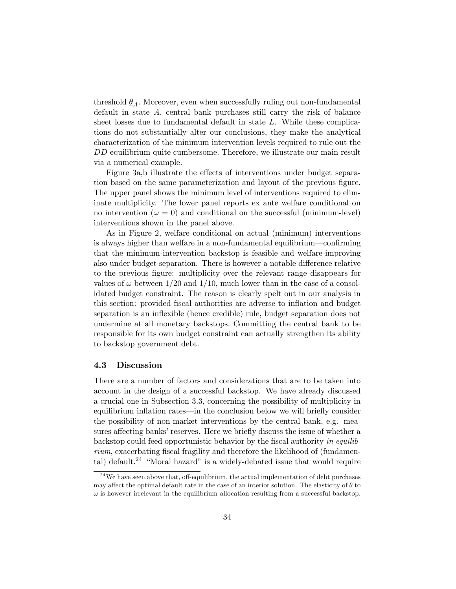threshold  $\theta_A$ . Moreover, even when successfully ruling out non-fundamental default in state *A*, central bank purchases still carry the risk of balance sheet losses due to fundamental default in state *L*. While these complications do not substantially alter our conclusions, they make the analytical characterization of the minimum intervention levels required to rule out the *DD* equilibrium quite cumbersome. Therefore, we illustrate our main result via a numerical example.

Figure 3a,b illustrate the effects of interventions under budget separation based on the same parameterization and layout of the previous figure. The upper panel shows the minimum level of interventions required to eliminate multiplicity. The lower panel reports ex ante welfare conditional on no intervention ( $\omega = 0$ ) and conditional on the successful (minimum-level) interventions shown in the panel above.

As in Figure 2, welfare conditional on actual (minimum) interventions is always higher than welfare in a non-fundamental equilibrium–confirming that the minimum-intervention backstop is feasible and welfare-improving also under budget separation. There is however a notable difference relative to the previous figure: multiplicity over the relevant range disappears for values of  $\omega$  between 1/20 and 1/10, much lower than in the case of a consolidated budget constraint. The reason is clearly spelt out in our analysis in this section: provided fiscal authorities are adverse to inflation and budget separation is an inflexible (hence credible) rule, budget separation does not undermine at all monetary backstops. Committing the central bank to be responsible for its own budget constraint can actually strengthen its ability to backstop government debt.

#### 4.3 Discussion

There are a number of factors and considerations that are to be taken into account in the design of a successful backstop. We have already discussed a crucial one in Subsection 3.3, concerning the possibility of multiplicity in equilibrium inflation rates–in the conclusion below we will briefly consider the possibility of non-market interventions by the central bank, e.g. measures affecting banks' reserves. Here we briefly discuss the issue of whether a backstop could feed opportunistic behavior by the fiscal authority *in equilibrium*, exacerbating fiscal fragility and therefore the likelihood of (fundamental) default.<sup>24</sup> "Moral hazard" is a widely-debated issue that would require

 $24$  We have seen above that, off-equilibrium, the actual implementation of debt purchases may affect the optimal default rate in the case of an interior solution. The elasticity of  $\theta$  to  $\omega$  is however irrelevant in the equilibrium allocation resulting from a successful backstop.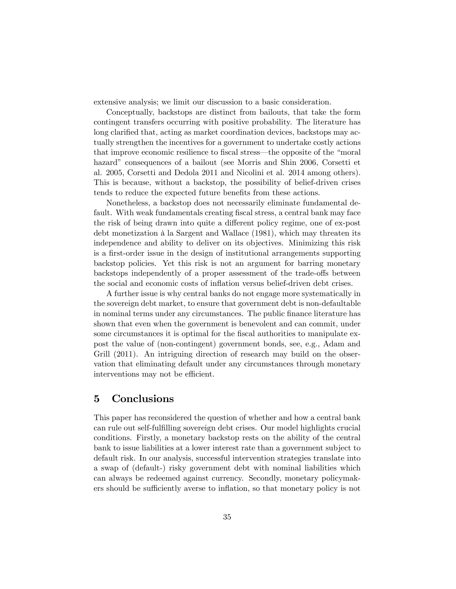extensive analysis; we limit our discussion to a basic consideration.

Conceptually, backstops are distinct from bailouts, that take the form contingent transfers occurring with positive probability. The literature has long clarified that, acting as market coordination devices, backstops may actually strengthen the incentives for a government to undertake costly actions that improve economic resilience to fiscal stress–the opposite of the "moral hazard" consequences of a bailout (see Morris and Shin 2006, Corsetti et al. 2005, Corsetti and Dedola 2011 and Nicolini et al. 2014 among others). This is because, without a backstop, the possibility of belief-driven crises tends to reduce the expected future benefits from these actions.

Nonetheless, a backstop does not necessarily eliminate fundamental default. With weak fundamentals creating fiscal stress, a central bank may face the risk of being drawn into quite a different policy regime, one of ex-post debt monetization à la Sargent and Wallace (1981), which may threaten its independence and ability to deliver on its objectives. Minimizing this risk is a first-order issue in the design of institutional arrangements supporting backstop policies. Yet this risk is not an argument for barring monetary backstops independently of a proper assessment of the trade-offs between the social and economic costs of inflation versus belief-driven debt crises.

A further issue is why central banks do not engage more systematically in the sovereign debt market, to ensure that government debt is non-defaultable in nominal terms under any circumstances. The public finance literature has shown that even when the government is benevolent and can commit, under some circumstances it is optimal for the fiscal authorities to manipulate expost the value of (non-contingent) government bonds, see, e.g., Adam and Grill (2011). An intriguing direction of research may build on the observation that eliminating default under any circumstances through monetary interventions may not be efficient.

# 5 Conclusions

This paper has reconsidered the question of whether and how a central bank can rule out self-fulfilling sovereign debt crises. Our model highlights crucial conditions. Firstly, a monetary backstop rests on the ability of the central bank to issue liabilities at a lower interest rate than a government subject to default risk. In our analysis, successful intervention strategies translate into a swap of (default-) risky government debt with nominal liabilities which can always be redeemed against currency. Secondly, monetary policymakers should be sufficiently averse to inflation, so that monetary policy is not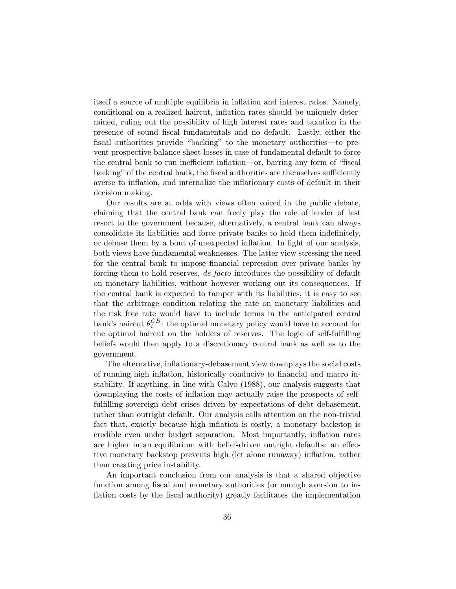itself a source of multiple equilibria in inflation and interest rates. Namely, conditional on a realized haircut, inflation rates should be uniquely determined, ruling out the possibility of high interest rates and taxation in the presence of sound fiscal fundamentals and no default. Lastly, either the fiscal authorities provide "backing" to the monetary authorities–to prevent prospective balance sheet losses in case of fundamental default to force the central bank to run inefficient inflation—or, barring any form of "fiscal backing" of the central bank, the fiscal authorities are themselves sufficiently averse to inflation, and internalize the inflationary costs of default in their decision making.

Our results are at odds with views often voiced in the public debate, claiming that the central bank can freely play the role of lender of last resort to the government because, alternatively, a central bank can always consolidate its liabilities and force private banks to hold them indefinitely, or debase them by a bout of unexpected inflation. In light of our analysis, both views have fundamental weaknesses. The latter view stressing the need for the central bank to impose financial repression over private banks by forcing them to hold reserves, *de facto* introduces the possibility of default on monetary liabilities, without however working out its consequences. If the central bank is expected to tamper with its liabilities, it is easy to see that the arbitrage condition relating the rate on monetary liabilities and the risk free rate would have to include terms in the anticipated central bank's haircut  $\theta_i^{CB}$ : the optimal monetary policy would have to account for the optimal haircut on the holders of reserves. The logic of self-fulfilling beliefs would then apply to a discretionary central bank as well as to the government.

The alternative, inflationary-debasement view downplays the social costs of running high inflation, historically conducive to financial and macro instability. If anything, in line with Calvo (1988), our analysis suggests that downplaying the costs of inflation may actually raise the prospects of selffulfilling sovereign debt crises driven by expectations of debt debasement, rather than outright default. Our analysis calls attention on the non-trivial fact that, exactly because high inflation is costly, a monetary backstop is credible even under budget separation. Most importantly, inflation rates are higher in an equilibrium with belief-driven outright defaults: an effective monetary backstop prevents high (let alone runaway) inflation, rather than creating price instability.

An important conclusion from our analysis is that a shared objective function among fiscal and monetary authorities (or enough aversion to inflation costs by the fiscal authority) greatly facilitates the implementation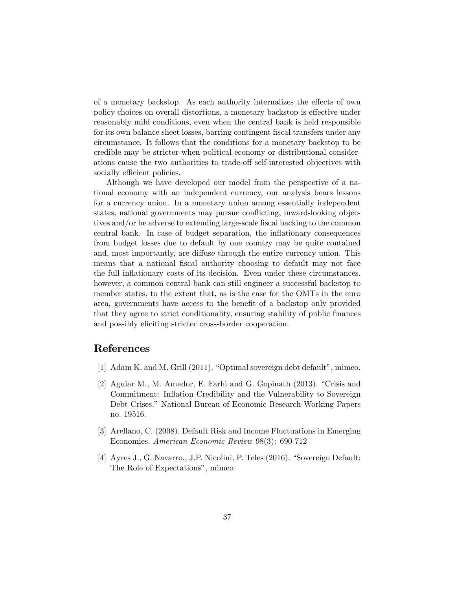of a monetary backstop. As each authority internalizes the effects of own policy choices on overall distortions, a monetary backstop is effective under reasonably mild conditions, even when the central bank is held responsible for its own balance sheet losses, barring contingent fiscal transfers under any circumstance. It follows that the conditions for a monetary backstop to be credible may be stricter when political economy or distributional considerations cause the two authorities to trade-off self-interested objectives with socially efficient policies.

Although we have developed our model from the perspective of a national economy with an independent currency, our analysis bears lessons for a currency union. In a monetary union among essentially independent states, national governments may pursue conflicting, inward-looking objectives and/or be adverse to extending large-scale fiscal backing to the common central bank. In case of budget separation, the inflationary consequences from budget losses due to default by one country may be quite contained and, most importantly, are diffuse through the entire currency union. This means that a national fiscal authority choosing to default may not face the full inflationary costs of its decision. Even under these circumstances, however, a common central bank can still engineer a successful backstop to member states, to the extent that, as is the case for the OMTs in the euro area, governments have access to the benefit of a backstop only provided that they agree to strict conditionality, ensuring stability of public finances and possibly eliciting stricter cross-border cooperation.

# References

- [1] Adam K. and M. Grill (2011). "Optimal sovereign debt default", mimeo.
- [2] Aguiar M., M. Amador, E. Farhi and G. Gopinath (2013). "Crisis and Commitment: Inflation Credibility and the Vulnerability to Sovereign Debt Crises." National Bureau of Economic Research Working Papers no. 19516.
- [3] Arellano, C. (2008). Default Risk and Income Fluctuations in Emerging Economies. *American Economic Review* 98(3): 690-712
- [4] Ayres J., G. Navarro., J.P. Nicolini, P. Teles (2016). "Sovereign Default: The Role of Expectations", mimeo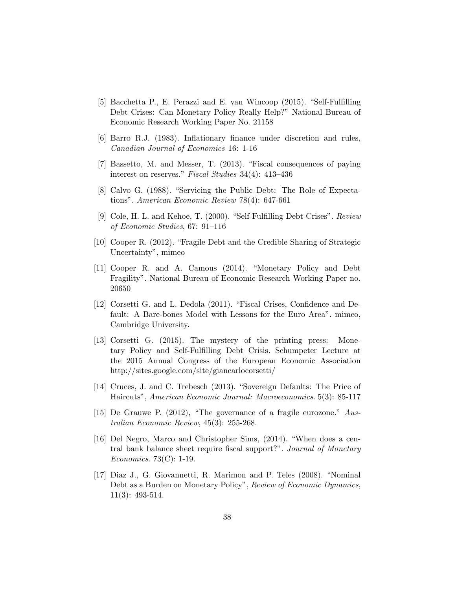- [5] Bacchetta P., E. Perazzi and E. van Wincoop (2015). "Self-Fulfilling Debt Crises: Can Monetary Policy Really Help?" National Bureau of Economic Research Working Paper No. 21158
- [6] Barro R.J. (1983). Inflationary finance under discretion and rules, *Canadian Journal of Economics* 16: 1-16
- [7] Bassetto, M. and Messer, T. (2013). "Fiscal consequences of paying interest on reserves." *Fiscal Studies* 34(4): 413—436
- [8] Calvo G. (1988). "Servicing the Public Debt: The Role of Expectations". *American Economic Review* 78(4): 647-661
- [9] Cole, H. L. and Kehoe, T. (2000). "Self-Fulfilling Debt Crises". *Review of Economic Studies*, 67: 91—116
- [10] Cooper R. (2012). "Fragile Debt and the Credible Sharing of Strategic Uncertainty", mimeo
- [11] Cooper R. and A. Camous (2014). "Monetary Policy and Debt Fragility". National Bureau of Economic Research Working Paper no. 20650
- [12] Corsetti G. and L. Dedola (2011). "Fiscal Crises, Confidence and Default: A Bare-bones Model with Lessons for the Euro Area". mimeo, Cambridge University.
- [13] Corsetti G. (2015). The mystery of the printing press: Monetary Policy and Self-Fulfilling Debt Crisis. Schumpeter Lecture at the 2015 Annual Congress of the European Economic Association http://sites.google.com/site/giancarlocorsetti/
- [14] Cruces, J. and C. Trebesch (2013). "Sovereign Defaults: The Price of Haircuts", *American Economic Journal: Macroeconomics*. 5(3): 85-117
- [15] De Grauwe P. (2012), "The governance of a fragile eurozone." *Australian Economic Review*, 45(3): 255-268.
- [16] Del Negro, Marco and Christopher Sims, (2014). "When does a central bank balance sheet require fiscal support?". *Journal of Monetary Economics*. 73(C): 1-19.
- [17] Diaz J., G. Giovannetti, R. Marimon and P. Teles (2008). "Nominal Debt as a Burden on Monetary Policy", *Review of Economic Dynamics*, 11(3): 493-514.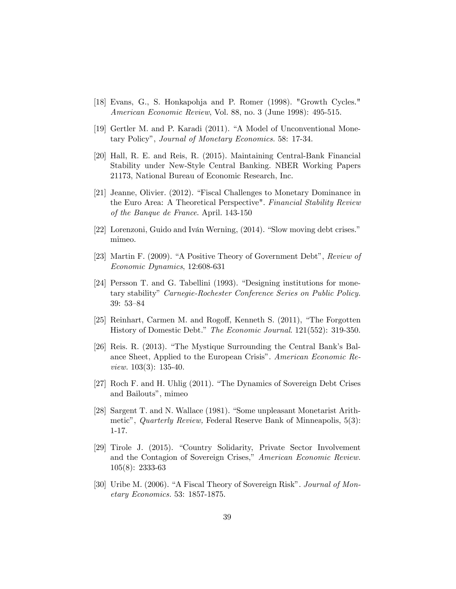- [18] Evans, G., S. Honkapohja and P. Romer (1998). "Growth Cycles." *American Economic Review*, Vol. 88, no. 3 (June 1998): 495-515.
- [19] Gertler M. and P. Karadi (2011). "A Model of Unconventional Monetary Policy", *Journal of Monetary Economics.* 58: 17-34.
- [20] Hall, R. E. and Reis, R. (2015). Maintaining Central-Bank Financial Stability under New-Style Central Banking. NBER Working Papers 21173, National Bureau of Economic Research, Inc.
- [21] Jeanne, Olivier. (2012). "Fiscal Challenges to Monetary Dominance in the Euro Area: A Theoretical Perspective". *Financial Stability Review of the Banque de France*. April. 143-150
- [22] Lorenzoni, Guido and Iván Werning, (2014). "Slow moving debt crises." mimeo.
- [23] Martin F. (2009). "A Positive Theory of Government Debt", *Review of Economic Dynamics*, 12:608-631
- [24] Persson T. and G. Tabellini (1993). "Designing institutions for monetary stability" *Carnegie-Rochester Conference Series on Public Policy.* 39: 53—84
- [25] Reinhart, Carmen M. and Rogoff, Kenneth S. (2011), "The Forgotten History of Domestic Debt." *The Economic Journal*. 121(552): 319-350.
- [26] Reis. R. (2013). "The Mystique Surrounding the Central Bank's Balance Sheet, Applied to the European Crisis". *American Economic Review.* 103(3): 135-40.
- [27] Roch F. and H. Uhlig (2011). "The Dynamics of Sovereign Debt Crises and Bailouts", mimeo
- [28] Sargent T. and N. Wallace (1981). "Some unpleasant Monetarist Arithmetic", *Quarterly Review,* Federal Reserve Bank of Minneapolis, 5(3): 1-17.
- [29] Tirole J. (2015). "Country Solidarity, Private Sector Involvement and the Contagion of Sovereign Crises," *American Economic Review.* 105(8): 2333-63
- [30] Uribe M. (2006). "A Fiscal Theory of Sovereign Risk". *Journal of Monetary Economics.* 53: 1857-1875.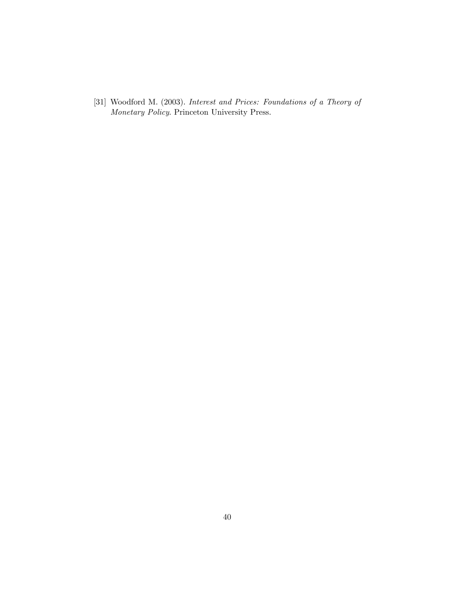[31] Woodford M. (2003). *Interest and Prices: Foundations of a Theory of Monetary Policy*. Princeton University Press.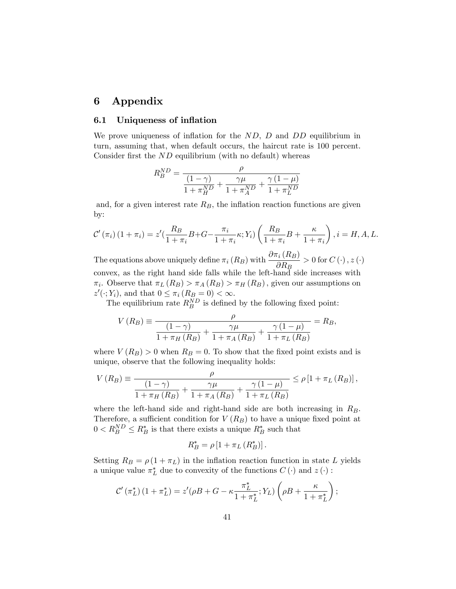# 6 Appendix

## 6.1 Uniqueness of inflation

We prove uniqueness of inflation for the *ND*, *D* and *DD* equilibrium in turn, assuming that, when default occurs, the haircut rate is 100 percent. Consider first the *ND* equilibrium (with no default) whereas

$$
R_B^{ND} = \frac{\rho}{\frac{(1-\gamma)}{1+\pi_H^{ND}} + \frac{\gamma \mu}{1+\pi_A^{ND}} + \frac{\gamma (1-\mu)}{1+\pi_L^{ND}}}
$$

and, for a given interest rate  $R_B$ , the inflation reaction functions are given by:

$$
\mathcal{C}'\left(\pi_i\right)\left(1+\pi_i\right) = z'\left(\frac{R_B}{1+\pi_i}B+G-\frac{\pi_i}{1+\pi_i}\kappa;Y_i\right)\left(\frac{R_B}{1+\pi_i}B+\frac{\kappa}{1+\pi_i}\right), i = H, A, L.
$$

The equations above uniquely define  $\pi_i(R_B)$  with  $\frac{\partial \pi_i(R_B)}{\partial R_B} > 0$  for  $C(\cdot), z(\cdot)$ convex, as the right hand side falls while the left-hand side increases with  $\pi_i$ . Observe that  $\pi_L(R_B) > \pi_A(R_B) > \pi_H(R_B)$ , given our assumptions on  $z'(\cdot; Y_i)$ , and that  $0 \leq \pi_i (R_B = 0) < \infty$ .

The equilibrium rate  $R_B^{ND}$  is defined by the following fixed point:

$$
V(R_B) \equiv \frac{\rho}{\frac{(1-\gamma)}{1+\pi_H(R_B)} + \frac{\gamma \mu}{1+\pi_A(R_B)} + \frac{\gamma (1-\mu)}{1+\pi_L(R_B)}} = R_B,
$$

where  $V(R_B) > 0$  when  $R_B = 0$ . To show that the fixed point exists and is unique, observe that the following inequality holds:

$$
V(R_B) \equiv \frac{\rho}{\frac{(1-\gamma)}{1+\pi_H(R_B)} + \frac{\gamma \mu}{1+\pi_A(R_B)} + \frac{\gamma (1-\mu)}{1+\pi_L(R_B)}} \leq \rho [1 + \pi_L(R_B)],
$$

where the left-hand side and right-hand side are both increasing in *RB.* Therefore, a sufficient condition for  $V(R_B)$  to have a unique fixed point at  $0 < R_B^{ND} \leq R_B^*$  is that there exists a unique  $R_B^*$  such that

$$
R_B^* = \rho \left[ 1 + \pi_L \left( R_B^* \right) \right].
$$

Setting  $R_B = \rho (1 + \pi_L)$  in the inflation reaction function in state L yields a unique value  $\pi_L^*$  due to convexity of the functions  $C(\cdot)$  and  $z(\cdot)$ :

$$
\mathcal{C}'\left(\pi_L^*\right)\left(1+\pi_L^*\right)=z'(\rho B+G-\kappa\frac{\pi_L^*}{1+\pi_L^*};Y_L)\left(\rho B+\frac{\kappa}{1+\pi_L^*}\right);
$$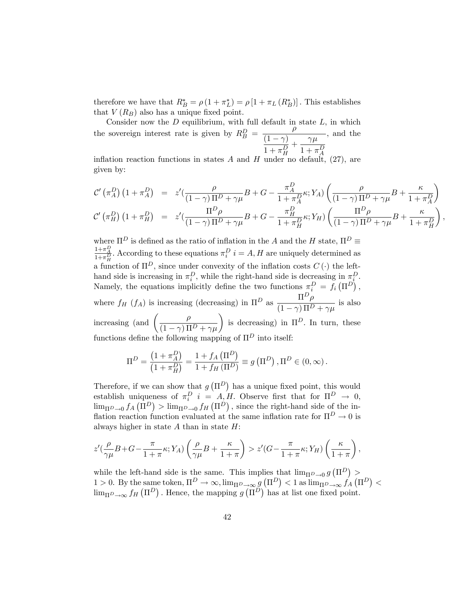therefore we have that  $R_B^* = \rho (1 + \pi_L^*) = \rho [1 + \pi_L (R_B^*)]$ . This establishes that  $V(R_B)$  also has a unique fixed point.

Consider now the *D* equilibrium, with full default in state *L*, in which the sovereign interest rate is given by  $R_B^D = \frac{\rho}{(1-\gamma)^D}$  $\frac{(1 - \gamma)}{2}$  $1 + \pi_H^D$  $+\frac{\gamma\mu}{\gamma}$  $1 + \pi_A^D$ *,* and the

inflation reaction functions in states  $A$  and  $H$  under no default,  $(27)$ , are given by:

$$
\mathcal{C}'\left(\pi_A^D\right)\left(1+\pi_A^D\right) = z'\left(\frac{\rho}{(1-\gamma)\Pi^D+\gamma\mu}B+G-\frac{\pi_A^D}{1+\pi_A^D}\kappa;Y_A\right)\left(\frac{\rho}{(1-\gamma)\Pi^D+\gamma\mu}B+\frac{\kappa}{1+\pi_A^D}\right) \n\mathcal{C}'\left(\pi_H^D\right)\left(1+\pi_H^D\right) = z'\left(\frac{\Pi^D\rho}{(1-\gamma)\Pi^D+\gamma\mu}B+G-\frac{\pi_H^D}{1+\pi_H^D}\kappa;Y_H\right)\left(\frac{\Pi^D\rho}{(1-\gamma)\Pi^D+\gamma\mu}B+\frac{\kappa}{1+\pi_H^D}\right),
$$

where  $\Pi^D$  is defined as the ratio of inflation in the *A* and the *H* state,  $\Pi^D$   $\equiv$  $\frac{1+\pi_A^D}{1+\pi_H^D}$ . According to these equations  $\pi_i^D$   $i = A, H$  are uniquely determined as a function of  $\Pi^D$ , since under convexity of the inflation costs  $C(\cdot)$  the lefthand side is increasing in  $\pi_i^D$ , while the right-hand side is decreasing in  $\pi_i^D$ . Namely, the equations implicitly define the two functions  $\pi_i^D = f_i(\Pi^D)$ , where  $f_H(f_A)$  is increasing (decreasing) in  $\Pi^D$  as  $\frac{\Pi^D \rho}{(1-\epsilon) H^D}$  $\frac{1}{(1 - \gamma) \Pi^D + \gamma \mu}$  is also increasing (and  $\left(\frac{\rho}{\sqrt{1-\lambda}}\right)$  $(1 - \gamma) \Pi^D + \gamma \mu$ ) is decreasing) in  $\Pi^D$ . In turn, these functions define the following mapping of  $\Pi^D$  into itself:  $\mathbf{R}$ 

$$
\Pi^D = \frac{\left(1 + \pi_A^D\right)}{\left(1 + \pi_H^D\right)} = \frac{1 + f_A\left(\Pi^D\right)}{1 + f_H\left(\Pi^D\right)} \equiv g\left(\Pi^D\right), \Pi^D \in (0, \infty).
$$

Therefore, if we can show that  $g(\Pi^D)$  has a unique fixed point, this would establish uniqueness of  $\pi_i^D$  *i* = *A, H.* Observe first that for  $\Pi^D \to 0$ ,  $\lim_{\Pi}$  $\lim_{\Pi}$  $\lim_{\Pi}$  $\lim_{\Pi}$  $\lim_{\Pi}$  $\lim_{\Pi}$  $\lim_{\Pi}$  $\lim_{\Pi}$  $\lim_{\Pi}$  $\lim_{\Pi}$   $\lim_{\Pi}$ flation reaction function evaluated at the same inflation rate for  $\Pi^D \to 0$  is always higher in state *A* than in state *H*:

$$
z'(\frac{\rho}{\gamma\mu}B+G-\frac{\pi}{1+\pi}\kappa;Y_A)\left(\frac{\rho}{\gamma\mu}B+\frac{\kappa}{1+\pi}\right) > z'(G-\frac{\pi}{1+\pi}\kappa;Y_H)\left(\frac{\kappa}{1+\pi}\right),
$$

while the left-hand side is the same. This implies that  $\lim_{\Pi} p_{\to 0} g(\Pi^D) >$ 1 > 0. By the same token,  $\Pi^D \to \infty$ ,  $\lim_{\Pi^D \to \infty} g(\Pi^D) < 1$  as  $\lim_{\Pi^D \to \infty} f_A(\Pi^D) <$  $\lim_{\Pi^D \to \infty} f_H(\Pi^D)$ . Hence, the mapping  $g(\Pi^D)$  has at list one fixed point.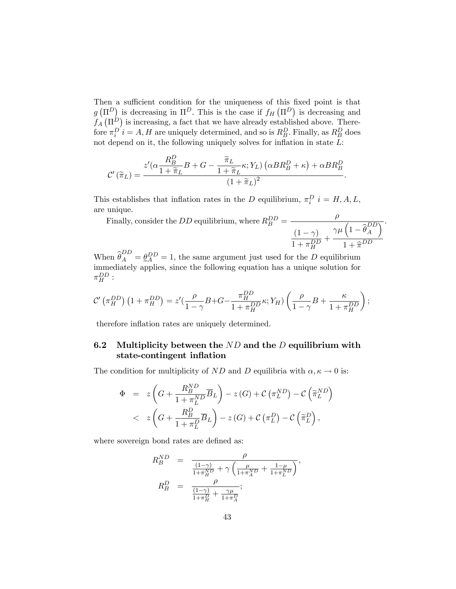Then a sufficient condition for the uniqueness of this fixed point is that  $g(\Pi^D)$  is decreasing in  $\Pi^D$ . This is the case if  $f_H(\Pi^D)$  is decreasing and  $f_A(\Pi^D)$  is increasing, a fact that we have already established above. There- $\int f(\theta) \, d\theta$  *i* = *A, H* are uniquely determined, and so is  $R_B^D$ . Finally, as  $R_B^D$  does not depend on it, the following uniquely solves for inflation in state *L*:

$$
\mathcal{C}'\left(\widetilde{\pi}_L\right) = \frac{z'(\alpha \frac{R_B^D}{1 + \widetilde{\pi}_L} B + G - \frac{\widetilde{\pi}_L}{1 + \widetilde{\pi}_L} \kappa; Y_L) \left(\alpha BR_B^D + \kappa\right) + \alpha BR_B^D}{\left(1 + \widetilde{\pi}_L\right)^2}.
$$

This establishes that inflation rates in the *D* equilibrium,  $\pi_i^D$   $i = H, A, L$ ,  $i^D_i$   $i = H, A, L$ are unique.

Finally, consider the *DD* equilibrium, where  $R_B^{DD}$  =  $\frac{\rho}{\rho}$  $(1 - \gamma)$  $1 + \pi_H^{DD}$  $+$  $\gamma\mu\left(1-\widehat{\theta}_A^{DD}\right)$ *A*  $\overline{\mathcal{L}}$  $1 + \widehat{\pi}^{DD}$ *.*

When  $\widehat{\theta}_A^{DD} = \underline{\theta}_A^{DD} = 1$ , the same argument just used for the *D* equilibrium immediately applies, since the following equation has a unique solution for  $\pi_H^{DD}$  :

$$
\mathcal{C}'\left(\pi_H^{DD}\right)\left(1+\pi_H^{DD}\right)=z'\left(\frac{\rho}{1-\gamma}B+G-\frac{\pi_H^{DD}}{1+\pi_H^{DD}}\kappa;Y_H\right)\left(\frac{\rho}{1-\gamma}B+\frac{\kappa}{1+\pi_H^{DD}}\right);
$$

therefore inflation rates are uniquely determined.

# 6.2 Multiplicity between the *ND* and the *D* equilibrium with state-contingent inflation

The condition for multiplicity of *ND* and *D* equilibria with  $\alpha, \kappa \to 0$  is:

$$
\Phi = z \left( G + \frac{R_B^{ND}}{1 + \pi_L^{ND}} \overline{B}_L \right) - z(G) + C \left( \pi_L^{ND} \right) - C \left( \widetilde{\pi}_L^{ND} \right) \n< z \left( G + \frac{R_B^D}{1 + \pi_L^D} \overline{B}_L \right) - z(G) + C \left( \pi_L^D \right) - C \left( \widetilde{\pi}_L^D \right),
$$

where sovereign bond rates are defined as:

$$
R_B^{ND} = \frac{\rho}{\frac{(1-\gamma)}{1+\pi_H^{ND}} + \gamma \left(\frac{\mu}{1+\pi_A^{ND}} + \frac{1-\mu}{1+\pi_L^{ND}}\right)},
$$
  

$$
R_B^D = \frac{\rho}{\frac{(1-\gamma)}{1+\pi_H^D} + \frac{\gamma\mu}{1+\pi_A^D}};
$$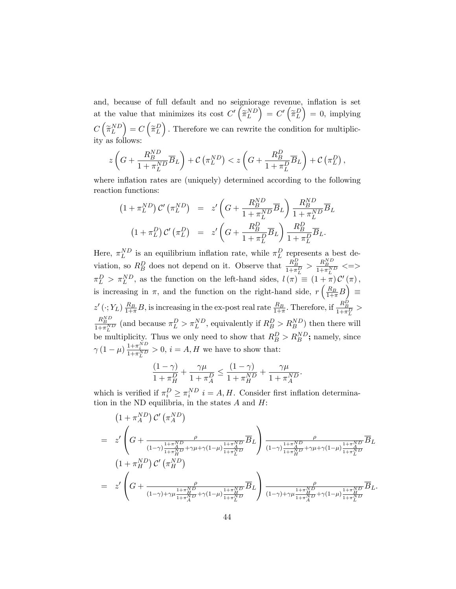and, because of full default and no seigniorage revenue, inflation is set at the value that minimizes its cost  $C'(\widetilde{\pi}_L^{ND})$  $\bigg) ^{\!\!\!\phantom{I}} = \, C ^{\prime} \left( \widetilde{\pi} _L^D \right)$  $= 0$ , implying  $C\left(\widetilde{\pi}_{L}^{ND}\right)$  $\left( \right) = C \left( \widetilde{\pi}_{L}^{D} \right)$ . *.* Therefore we can rewrite the condition for multiplicity as follows:

$$
z\left(G + \frac{R_B^{ND}}{1 + \pi_L^{ND}} \overline{B}_L\right) + C\left(\pi_L^{ND}\right) < z\left(G + \frac{R_B^D}{1 + \pi_L^D} \overline{B}_L\right) + C\left(\pi_L^D\right),
$$

where inflation rates are (uniquely) determined according to the following reaction functions:

$$
(1 + \pi_L^{ND}) C' (\pi_L^{ND}) = z' \left( G + \frac{R_B^{ND}}{1 + \pi_L^{ND}} \overline{B}_L \right) \frac{R_B^{ND}}{1 + \pi_L^{ND}} \overline{B}_L
$$

$$
(1 + \pi_L^D) C' (\pi_L^D) = z' \left( G + \frac{R_B^D}{1 + \pi_L^D} \overline{B}_L \right) \frac{R_B^D}{1 + \pi_L^D} \overline{B}_L.
$$

Here,  $\pi_L^{ND}$  is an equilibrium inflation rate, while  $\pi_L^D$  represents a best deviation, so  $R_B^D$  does not depend on it. Observe that  $\frac{R_B^D}{1+\pi_L^D} > \frac{R_B^{ND}}{1+\pi_L^{ND}} \leq \Longrightarrow$  $\pi_L^D > \pi_L^{ND}$ , as the function on the left-hand sides,  $l(\pi) \equiv (1 + \pi) C'(\pi)$ , is increasing in  $\pi$ , and the function on the right-hand side,  $r\left(\frac{R_B}{1+\pi}B\right)$ ≡  $z'(\cdot; Y_L) \frac{R_B}{1+\pi} B$ , is increasing in the ex-post real rate  $\frac{R_B}{1+\pi}$ . Therefore, if  $\frac{R_B^D}{1+\pi_L^D}$  $\frac{R_B^{ND}}{1+\pi_L^{ND}}$  (and because  $\pi_L^D > \pi_L^{ND}$ , equivalently if  $R_B^D > R_B^{ND}$ ) then there will be multiplicity. Thus we only need to show that  $R_B^D > R_B^{ND}$ ; namely, since  $\gamma (1 - \mu) \frac{1 + \pi_i^{ND}}{1 + \pi_L^{ND}} > 0$ ,  $i = A, H$  we have to show that:

$$
\frac{(1-\gamma)}{1+\pi_H^D} + \frac{\gamma\mu}{1+\pi_A^D} \le \frac{(1-\gamma)}{1+\pi_H^{ND}} + \frac{\gamma\mu}{1+\pi_A^{ND}}.
$$

which is verified if  $\pi_i^D \geq \pi_i^{ND}$   $i = A, H$ . Consider first inflation determination in the ND equilibria, in the states *A* and *H*:

$$
(1 + \pi_A^{ND}) C' (\pi_A^{ND})
$$
\n
$$
= z' \left( G + \frac{\rho}{(1-\gamma)\frac{1+\pi_A^{ND}}{1+\pi_B^{ND}} + \gamma\mu + \gamma(1-\mu)\frac{1+\pi_A^{ND}}{1+\pi_L^{ND}}}\overline{B}_L \right) \frac{\rho}{(1-\gamma)\frac{1+\pi_A^{ND}}{1+\pi_B^{ND}} + \gamma\mu + \gamma(1-\mu)\frac{1+\pi_A^{ND}}{1+\pi_L^{ND}}}\overline{B}_L
$$
\n
$$
(1 + \pi_H^{ND}) C' (\pi_H^{ND})
$$
\n
$$
= z' \left( G + \frac{\rho}{(1-\gamma)+\gamma\mu\frac{1+\pi_B^{ND}}{1+\pi_A^{ND}} + \gamma(1-\mu)\frac{1+\pi_B^{ND}}{1+\pi_L^{ND}}}\overline{B}_L \right) \frac{\rho}{(1-\gamma)+\gamma\mu\frac{1+\pi_B^{ND}}{1+\pi_A^{ND}} + \gamma(1-\mu)\frac{1+\pi_B^{ND}}{1+\pi_L^{ND}}}\overline{B}_L.
$$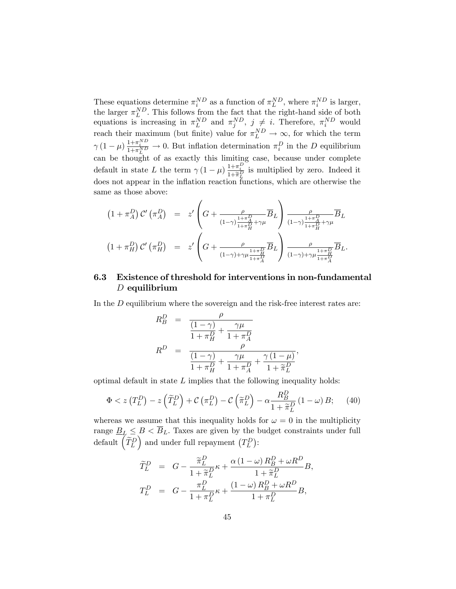These equations determine  $\pi_i^{ND}$  as a function of  $\pi_L^{ND}$ , where  $\pi_i^{ND}$  is larger, the larger  $\pi_L^{ND}$ . This follows from the fact that the right-hand side of both equations is increasing in  $\pi_L^{ND}$  and  $\pi_j^{ND}$ ,  $j \neq i$ . Therefore,  $\pi_i^{ND}$  would reach their maximum (but finite) value for  $\pi_L^{ND} \to \infty$ , for which the term  $\gamma (1 - \mu) \frac{1 + \pi_i^{ND}}{1 + \pi_L^{ND}} \to 0$ . But inflation determination  $\pi_i^D$  in the *D* equilibrium can be thought of as exactly this limiting case, because under complete default in state *L* the term  $\gamma (1 - \mu) \frac{1 + \pi_D^D}{1 + \tilde{\pi}_D^D}$  is multiplied by zero. Indeed it does not appear in the inflation reaction functions, which are otherwise the same as those above:

$$
(1 + \pi_A^D) C' (\pi_A^D) = z' \left( G + \frac{\rho}{(1-\gamma)\frac{1+\pi_A^D}{1+\pi_H^D} + \gamma \mu} \overline{B}_L \right) \frac{\rho}{(1-\gamma)\frac{1+\pi_A^D}{1+\pi_H^D} + \gamma \mu} \overline{B}_L
$$
  

$$
(1 + \pi_H^D) C' (\pi_H^D) = z' \left( G + \frac{\rho}{(1-\gamma)+\gamma \mu \frac{1+\pi_H^D}{1+\pi_A^D}} \overline{B}_L \right) \frac{\rho}{(1-\gamma)+\gamma \mu \frac{1+\pi_H^D}{1+\pi_A^D}} \overline{B}_L.
$$

# 6.3 Existence of threshold for interventions in non-fundamental *D* equilibrium

In the *D* equilibrium where the sovereign and the risk-free interest rates are:

$$
R_B^D = \frac{\rho}{\frac{(1-\gamma)}{1+\pi_H^D} + \frac{\gamma \mu}{1+\pi_A^D}}
$$
  
\n
$$
R^D = \frac{\rho}{\frac{(1-\gamma)}{1+\pi_H^D} + \frac{\gamma \mu}{1+\pi_A^D} + \frac{\gamma (1-\mu)}{1+\tilde{\pi}_L^D}},
$$

optimal default in state *L* implies that the following inequality holds:

$$
\Phi < z\left(T_L^D\right) - z\left(\widetilde{T}_L^D\right) + \mathcal{C}\left(\pi_L^D\right) - \mathcal{C}\left(\widetilde{\pi}_L^D\right) - \alpha \frac{R_B^D}{1 + \widetilde{\pi}_L^D} \left(1 - \omega\right) B; \tag{40}
$$

whereas we assume that this inequality holds for  $\omega = 0$  in the multiplicity range  $\underline{B}_L \leq B < \overline{B}_L$ . Taxes are given by the budget constraints under full  $\det$  *d*efault  $\left(\widetilde{T}_{L}^{D}\right)$ ) and under full repayment  $(T_L^D)$ :

$$
\begin{array}{rcl}\n\widetilde{T}_L^D &=& G - \frac{\widetilde{\pi}_L^D}{1 + \widetilde{\pi}_L^D} \kappa + \frac{\alpha \left( 1 - \omega \right) R_B^D + \omega R^D}{1 + \widetilde{\pi}_L^D} B, \\
T_L^D &=& G - \frac{\pi_L^D}{1 + \pi_L^D} \kappa + \frac{\left( 1 - \omega \right) R_B^D + \omega R^D}{1 + \pi_L^D} B,\n\end{array}
$$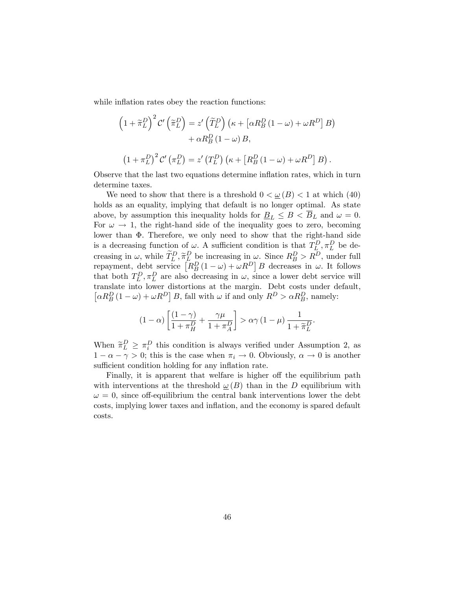while inflation rates obey the reaction functions:

$$
\left(1+\widetilde{\pi}_{L}^{D}\right)^{2} \mathcal{C}'\left(\widetilde{\pi}_{L}^{D}\right)=z'\left(\widetilde{T}_{L}^{D}\right)\left(\kappa+\left[\alpha R_{B}^{D}\left(1-\omega\right)+\omega R^{D}\right]B\right) + \alpha R_{B}^{D}\left(1-\omega\right)B,
$$

$$
(1 + \pi_L^D)^2 C' (\pi_L^D) = z' (T_L^D) (\kappa + [R_B^D (1 - \omega) + \omega R^D] B).
$$

Observe that the last two equations determine inflation rates, which in turn determine taxes.

We need to show that there is a threshold  $0 < \underline{\omega}(B) < 1$  at which (40) holds as an equality, implying that default is no longer optimal. As state above, by assumption this inequality holds for  $\underline{B}_L \leq B < \overline{B}_L$  and  $\omega = 0$ . For  $\omega \to 1$ , the right-hand side of the inequality goes to zero, becoming lower than Φ*.* Therefore, we only need to show that the right-hand side is a decreasing function of  $\omega$ . A sufficient condition is that  $T_L^D, \pi_L^D$  be decreasing in  $\omega$ , while  $\widetilde{T}_{L}^{D}$ ,  $\widetilde{\pi}_{L}^{D}$  be increasing in  $\omega$ . Since  $R_{B}^{D} > R^{D}$ , under full repayment, debt service  $\left[ R_B^D (1 - \omega) + \omega R^D \right] B$  decreases in  $\omega$ . It follows that both  $T_L^D, \pi_L^D$  are also decreasing in  $\omega$ , since a lower debt service will translate into lower distortions at the margin. Debt costs under default,  $\left[\alpha R_B^D (1 - \omega) + \omega R^D\right] B$ , fall with  $\omega$  if and only  $R^D > \alpha R_B^D$ , namely:

$$
(1 - \alpha) \left[ \frac{(1 - \gamma)}{1 + \pi_H^D} + \frac{\gamma \mu}{1 + \pi_A^D} \right] > \alpha \gamma \left( 1 - \mu \right) \frac{1}{1 + \widetilde{\pi}_L^D}.
$$

When  $\tilde{\pi}_L^D \geq \pi_i^D$  this condition is always verified under Assumption 2, as  $1 - \alpha - \gamma > 0$ ; this is the case when  $\pi_i \to 0$ . Obviously,  $\alpha \to 0$  is another sufficient condition holding for any inflation rate.

Finally, it is apparent that welfare is higher off the equilibrium path with interventions at the threshold  $\omega(B)$  than in the *D* equilibrium with  $\omega = 0$ , since off-equilibrium the central bank interventions lower the debt costs, implying lower taxes and inflation, and the economy is spared default costs.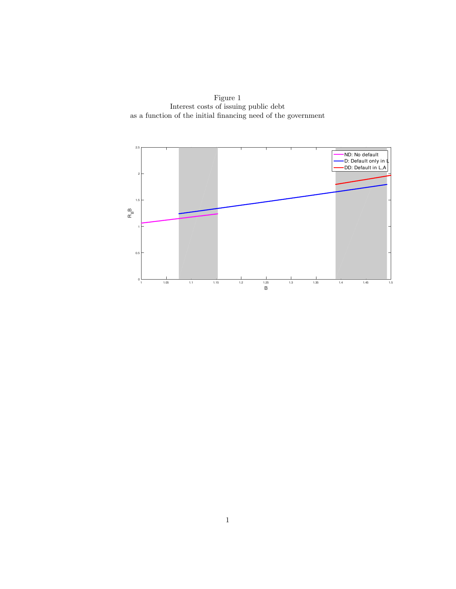Figure 1 Interest costs of issuing public debt as a function of the initial financing need of the government

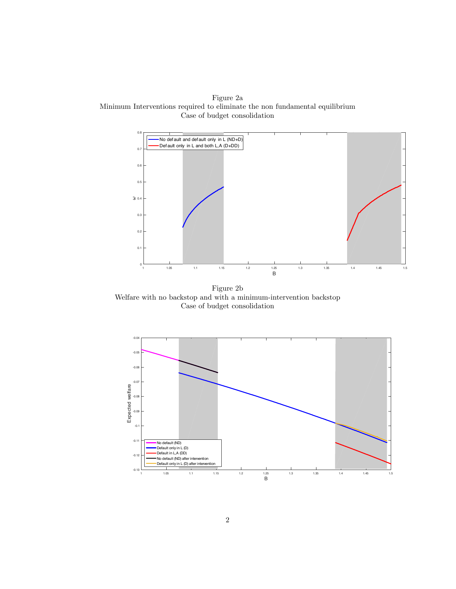Figure 2a Minimum Interventions required to eliminate the non fundamental equilibrium Case of budget consolidation



Figure 2b Welfare with no backstop and with a minimum-intervention backstop Case of budget consolidation